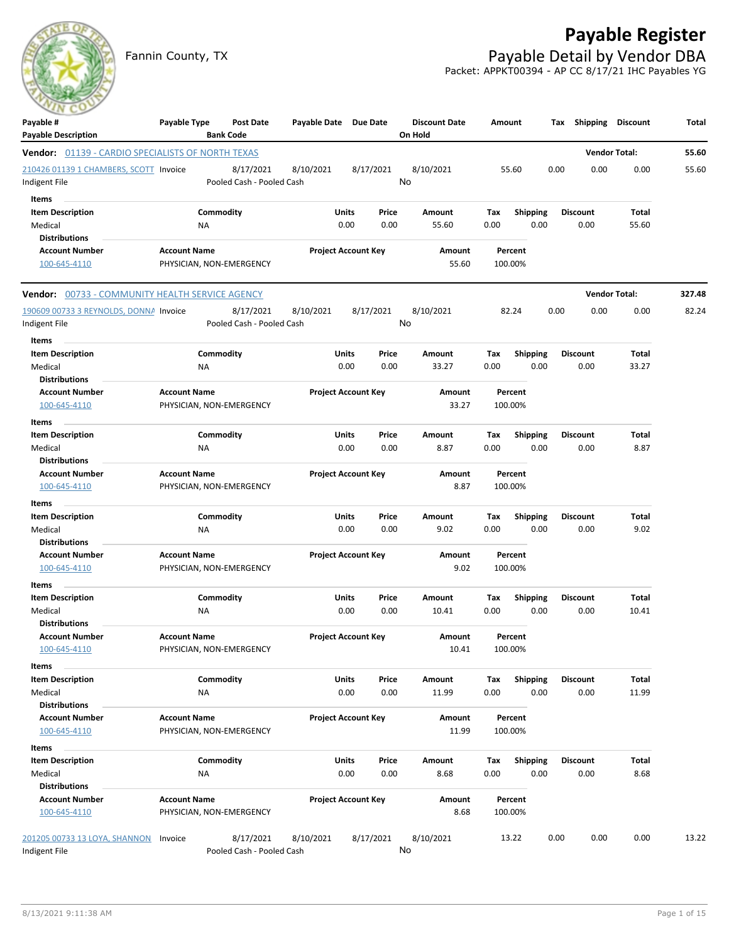## **Payable Register**

Fannin County, TX **Payable Detail by Vendor DBA** Packet: APPKT00394 - AP CC 8/17/21 IHC Payables YG



| Payable #<br><b>Payable Description</b>           | Payable Type        | Post Date<br><b>Bank Code</b> | Payable Date Due Date |                            |       | <b>Discount Date</b><br>On Hold | Amount |                 | Tax  | Shipping        | <b>Discount</b>      | Total  |
|---------------------------------------------------|---------------------|-------------------------------|-----------------------|----------------------------|-------|---------------------------------|--------|-----------------|------|-----------------|----------------------|--------|
| Vendor: 01139 - CARDIO SPECIALISTS OF NORTH TEXAS |                     |                               |                       |                            |       |                                 |        |                 |      |                 | <b>Vendor Total:</b> | 55.60  |
| 210426 01139 1 CHAMBERS, SCOTT Invoice            |                     | 8/17/2021                     | 8/10/2021             | 8/17/2021                  |       | 8/10/2021                       |        | 55.60           | 0.00 | 0.00            | 0.00                 | 55.60  |
| Indigent File                                     |                     | Pooled Cash - Pooled Cash     |                       |                            |       | No                              |        |                 |      |                 |                      |        |
| Items                                             |                     |                               |                       |                            |       |                                 |        |                 |      |                 |                      |        |
| <b>Item Description</b>                           |                     | Commodity                     |                       | Units                      | Price | Amount                          | Тах    | <b>Shipping</b> |      | <b>Discount</b> | Total                |        |
| Medical                                           | ΝA                  |                               |                       | 0.00                       | 0.00  | 55.60                           | 0.00   | 0.00            |      | 0.00            | 55.60                |        |
| <b>Distributions</b>                              |                     |                               |                       |                            |       |                                 |        |                 |      |                 |                      |        |
| <b>Account Number</b>                             | <b>Account Name</b> |                               |                       | <b>Project Account Key</b> |       | Amount                          |        | Percent         |      |                 |                      |        |
| 100-645-4110                                      |                     | PHYSICIAN, NON-EMERGENCY      |                       |                            |       | 55.60                           |        | 100.00%         |      |                 |                      |        |
| Vendor: 00733 - COMMUNITY HEALTH SERVICE AGENCY   |                     |                               |                       |                            |       |                                 |        |                 |      |                 | <b>Vendor Total:</b> | 327.48 |
| 190609 00733 3 REYNOLDS, DONNA Invoice            |                     | 8/17/2021                     | 8/10/2021             | 8/17/2021                  |       | 8/10/2021                       |        | 82.24           | 0.00 | 0.00            | 0.00                 | 82.24  |
| Indigent File                                     |                     | Pooled Cash - Pooled Cash     |                       |                            |       | No                              |        |                 |      |                 |                      |        |
| Items                                             |                     |                               |                       |                            |       |                                 |        |                 |      |                 |                      |        |
| <b>Item Description</b>                           |                     | Commodity                     |                       | Units                      | Price | Amount                          | Tax    | <b>Shipping</b> |      | <b>Discount</b> | Total                |        |
| Medical                                           | ΝA                  |                               |                       | 0.00                       | 0.00  | 33.27                           | 0.00   | 0.00            |      | 0.00            | 33.27                |        |
| <b>Distributions</b>                              |                     |                               |                       |                            |       |                                 |        |                 |      |                 |                      |        |
| <b>Account Number</b>                             | <b>Account Name</b> |                               |                       | <b>Project Account Key</b> |       | Amount                          |        | Percent         |      |                 |                      |        |
| 100-645-4110                                      |                     | PHYSICIAN, NON-EMERGENCY      |                       |                            |       | 33.27                           |        | 100.00%         |      |                 |                      |        |
| Items                                             |                     |                               |                       |                            |       |                                 |        |                 |      |                 |                      |        |
| <b>Item Description</b>                           |                     | Commodity                     |                       | Units                      | Price | Amount                          | Tax    | <b>Shipping</b> |      | <b>Discount</b> | Total                |        |
| Medical                                           | ΝA                  |                               |                       | 0.00                       | 0.00  | 8.87                            | 0.00   | 0.00            |      | 0.00            | 8.87                 |        |
| <b>Distributions</b>                              |                     |                               |                       |                            |       |                                 |        |                 |      |                 |                      |        |
| <b>Account Number</b>                             | <b>Account Name</b> |                               |                       | <b>Project Account Key</b> |       | Amount                          |        | Percent         |      |                 |                      |        |
| 100-645-4110                                      |                     | PHYSICIAN, NON-EMERGENCY      |                       |                            |       | 8.87                            |        | 100.00%         |      |                 |                      |        |
| Items                                             |                     |                               |                       |                            |       |                                 |        |                 |      |                 |                      |        |
| <b>Item Description</b>                           |                     | Commodity                     |                       | Units                      | Price | Amount                          | Tax    | <b>Shipping</b> |      | <b>Discount</b> | Total                |        |
| Medical                                           | NA                  |                               |                       | 0.00                       | 0.00  | 9.02                            | 0.00   | 0.00            |      | 0.00            | 9.02                 |        |
| <b>Distributions</b>                              |                     |                               |                       |                            |       |                                 |        |                 |      |                 |                      |        |
| <b>Account Number</b>                             | <b>Account Name</b> |                               |                       | <b>Project Account Key</b> |       | Amount                          |        | Percent         |      |                 |                      |        |
| 100-645-4110                                      |                     | PHYSICIAN, NON-EMERGENCY      |                       |                            |       | 9.02                            |        | 100.00%         |      |                 |                      |        |
| Items                                             |                     |                               |                       |                            |       |                                 |        |                 |      |                 |                      |        |
| <b>Item Description</b>                           |                     | Commodity                     |                       | Units                      | Price | Amount                          | Тах    | <b>Shipping</b> |      | <b>Discount</b> | Total                |        |
| Medical                                           | ΝA                  |                               |                       | 0.00                       | 0.00  | 10.41                           | 0.00   | 0.00            |      | 0.00            | 10.41                |        |
| <b>Distributions</b>                              |                     |                               |                       |                            |       |                                 |        |                 |      |                 |                      |        |
| <b>Account Number</b>                             | <b>Account Name</b> |                               |                       | <b>Project Account Key</b> |       | Amount                          |        | Percent         |      |                 |                      |        |
| 100-645-4110                                      |                     | PHYSICIAN, NON-EMERGENCY      |                       |                            |       | 10.41                           |        | 100.00%         |      |                 |                      |        |
| Items                                             |                     |                               |                       |                            |       |                                 |        |                 |      |                 |                      |        |
| <b>Item Description</b>                           |                     | Commodity                     |                       | Units                      | Price | Amount                          | Tax    | <b>Shipping</b> |      | <b>Discount</b> | Total                |        |
| Medical                                           | NA                  |                               |                       | 0.00                       | 0.00  | 11.99                           | 0.00   | 0.00            |      | 0.00            | 11.99                |        |
| <b>Distributions</b>                              |                     |                               |                       |                            |       |                                 |        |                 |      |                 |                      |        |
| <b>Account Number</b>                             | <b>Account Name</b> |                               |                       | <b>Project Account Key</b> |       | Amount                          |        | Percent         |      |                 |                      |        |
| 100-645-4110                                      |                     | PHYSICIAN, NON-EMERGENCY      |                       |                            |       | 11.99                           |        | 100.00%         |      |                 |                      |        |
| Items                                             |                     |                               |                       |                            |       |                                 |        |                 |      |                 |                      |        |
| <b>Item Description</b>                           |                     | Commodity                     |                       | Units                      | Price | Amount                          | Tax    | <b>Shipping</b> |      | <b>Discount</b> | Total                |        |
| Medical                                           | NA                  |                               |                       | 0.00                       | 0.00  | 8.68                            | 0.00   | 0.00            |      | 0.00            | 8.68                 |        |
| <b>Distributions</b>                              |                     |                               |                       |                            |       |                                 |        |                 |      |                 |                      |        |
| <b>Account Number</b>                             | <b>Account Name</b> |                               |                       | <b>Project Account Key</b> |       | Amount                          |        | Percent         |      |                 |                      |        |
| 100-645-4110                                      |                     | PHYSICIAN, NON-EMERGENCY      |                       |                            |       | 8.68                            |        | 100.00%         |      |                 |                      |        |
| 201205 00733 13 LOYA, SHANNON                     | Invoice             | 8/17/2021                     | 8/10/2021             | 8/17/2021                  |       | 8/10/2021                       |        | 13.22           | 0.00 | 0.00            | 0.00                 | 13.22  |
| Indigent File                                     |                     | Pooled Cash - Pooled Cash     |                       |                            |       | No                              |        |                 |      |                 |                      |        |
|                                                   |                     |                               |                       |                            |       |                                 |        |                 |      |                 |                      |        |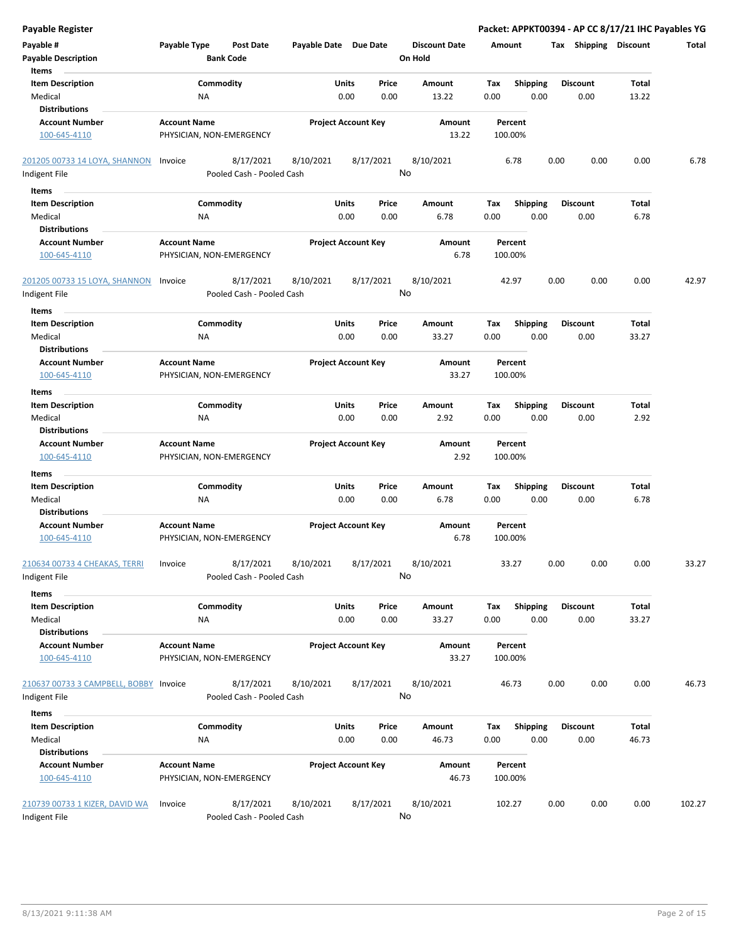| <b>Payable Register</b>                |                     |                           |                       |                            |       |                      |        |                 |      |                       |                | Packet: APPKT00394 - AP CC 8/17/21 IHC Payables YG |
|----------------------------------------|---------------------|---------------------------|-----------------------|----------------------------|-------|----------------------|--------|-----------------|------|-----------------------|----------------|----------------------------------------------------|
| Payable #                              | Payable Type        | Post Date                 | Payable Date Due Date |                            |       | <b>Discount Date</b> | Amount |                 |      | Tax Shipping Discount |                | Total                                              |
| <b>Payable Description</b>             |                     | <b>Bank Code</b>          |                       |                            |       | On Hold              |        |                 |      |                       |                |                                                    |
| Items                                  |                     |                           |                       |                            |       |                      |        |                 |      |                       |                |                                                    |
| <b>Item Description</b>                |                     | Commodity                 |                       | Units                      | Price | Amount               | Tax    | <b>Shipping</b> |      | <b>Discount</b>       | Total          |                                                    |
| Medical                                | NA                  |                           |                       | 0.00                       | 0.00  | 13.22                | 0.00   | 0.00            |      | 0.00                  | 13.22          |                                                    |
| <b>Distributions</b>                   |                     |                           |                       |                            |       |                      |        |                 |      |                       |                |                                                    |
| <b>Account Number</b>                  | <b>Account Name</b> |                           |                       | <b>Project Account Key</b> |       | Amount               |        | Percent         |      |                       |                |                                                    |
| 100-645-4110                           |                     | PHYSICIAN, NON-EMERGENCY  |                       |                            |       | 13.22                |        | 100.00%         |      |                       |                |                                                    |
| 201205 00733 14 LOYA, SHANNON Invoice  |                     | 8/17/2021                 | 8/10/2021             | 8/17/2021                  |       | 8/10/2021            |        | 6.78            | 0.00 | 0.00                  | 0.00           | 6.78                                               |
| Indigent File                          |                     | Pooled Cash - Pooled Cash |                       |                            |       | No                   |        |                 |      |                       |                |                                                    |
| Items                                  |                     |                           |                       |                            |       |                      |        |                 |      |                       |                |                                                    |
| <b>Item Description</b>                |                     | Commodity                 |                       | Units                      | Price | Amount               | Tax    | <b>Shipping</b> |      | <b>Discount</b>       | Total          |                                                    |
| Medical                                | ΝA                  |                           |                       | 0.00                       | 0.00  | 6.78                 | 0.00   | 0.00            |      | 0.00                  | 6.78           |                                                    |
| <b>Distributions</b>                   |                     |                           |                       |                            |       |                      |        |                 |      |                       |                |                                                    |
| <b>Account Number</b>                  | <b>Account Name</b> |                           |                       | <b>Project Account Key</b> |       | Amount               |        | Percent         |      |                       |                |                                                    |
| 100-645-4110                           |                     | PHYSICIAN, NON-EMERGENCY  |                       |                            |       | 6.78                 |        | 100.00%         |      |                       |                |                                                    |
| 201205 00733 15 LOYA, SHANNON          | Invoice             | 8/17/2021                 | 8/10/2021             | 8/17/2021                  |       | 8/10/2021            |        | 42.97           | 0.00 | 0.00                  | 0.00           | 42.97                                              |
| Indigent File                          |                     | Pooled Cash - Pooled Cash |                       |                            |       | No                   |        |                 |      |                       |                |                                                    |
| Items                                  |                     |                           |                       |                            |       |                      |        |                 |      |                       |                |                                                    |
| <b>Item Description</b>                |                     | Commodity                 |                       | Units                      | Price | Amount               | Tax    | <b>Shipping</b> |      | <b>Discount</b>       | Total          |                                                    |
| Medical                                | <b>NA</b>           |                           |                       | 0.00                       | 0.00  | 33.27                | 0.00   | 0.00            |      | 0.00                  | 33.27          |                                                    |
| <b>Distributions</b>                   |                     |                           |                       |                            |       |                      |        |                 |      |                       |                |                                                    |
| <b>Account Number</b>                  | <b>Account Name</b> |                           |                       | <b>Project Account Key</b> |       | Amount               |        | Percent         |      |                       |                |                                                    |
| 100-645-4110                           |                     | PHYSICIAN, NON-EMERGENCY  |                       |                            |       | 33.27                |        | 100.00%         |      |                       |                |                                                    |
| Items                                  |                     |                           |                       |                            |       |                      |        |                 |      |                       |                |                                                    |
| <b>Item Description</b>                |                     | Commodity                 |                       | Units                      | Price | Amount               | Тах    | <b>Shipping</b> |      | <b>Discount</b>       | Total          |                                                    |
| Medical                                | NA                  |                           |                       | 0.00                       | 0.00  | 2.92                 | 0.00   | 0.00            |      | 0.00                  | 2.92           |                                                    |
| <b>Distributions</b>                   |                     |                           |                       |                            |       |                      |        |                 |      |                       |                |                                                    |
| <b>Account Number</b>                  | <b>Account Name</b> |                           |                       | <b>Project Account Key</b> |       | Amount               |        | Percent         |      |                       |                |                                                    |
| 100-645-4110                           |                     | PHYSICIAN, NON-EMERGENCY  |                       |                            |       | 2.92                 |        | 100.00%         |      |                       |                |                                                    |
| Items                                  |                     |                           |                       |                            |       |                      |        |                 |      |                       |                |                                                    |
| <b>Item Description</b>                |                     | Commodity                 |                       | Units                      | Price | Amount               | Tax    | <b>Shipping</b> |      | <b>Discount</b>       | Total          |                                                    |
| Medical                                | NA                  |                           |                       | 0.00                       | 0.00  | 6.78                 | 0.00   | 0.00            |      | 0.00                  | 6.78           |                                                    |
| <b>Distributions</b>                   |                     |                           |                       |                            |       |                      |        |                 |      |                       |                |                                                    |
| <b>Account Number</b>                  | <b>Account Name</b> |                           |                       | <b>Project Account Key</b> |       | Amount               |        | Percent         |      |                       |                |                                                    |
| 100-645-4110                           |                     | PHYSICIAN, NON-EMERGENCY  |                       |                            |       | 6.78                 |        | 100.00%         |      |                       |                |                                                    |
| 210634 00733 4 CHEAKAS, TERRI          | Invoice             | 8/17/2021                 | 8/10/2021             | 8/17/2021                  |       | 8/10/2021            |        | 33.27           | 0.00 | 0.00                  | 0.00           | 33.27                                              |
| Indigent File                          |                     | Pooled Cash - Pooled Cash |                       |                            |       | No                   |        |                 |      |                       |                |                                                    |
| Items                                  |                     |                           |                       |                            |       |                      |        |                 |      |                       |                |                                                    |
| <b>Item Description</b>                |                     | Commodity                 |                       | Units                      | Price | Amount               | Tax    | <b>Shipping</b> |      | <b>Discount</b>       | Total          |                                                    |
| Medical                                | NA                  |                           |                       | 0.00                       | 0.00  | 33.27                | 0.00   | 0.00            |      | 0.00                  | 33.27          |                                                    |
| <b>Distributions</b>                   |                     |                           |                       |                            |       |                      |        |                 |      |                       |                |                                                    |
| <b>Account Number</b>                  | <b>Account Name</b> |                           |                       | <b>Project Account Key</b> |       | Amount               |        | Percent         |      |                       |                |                                                    |
| 100-645-4110                           |                     | PHYSICIAN, NON-EMERGENCY  |                       |                            |       | 33.27                |        | 100.00%         |      |                       |                |                                                    |
| 210637 00733 3 CAMPBELL, BOBBY Invoice |                     | 8/17/2021                 | 8/10/2021             | 8/17/2021                  |       | 8/10/2021            |        | 46.73           | 0.00 | 0.00                  | 0.00           | 46.73                                              |
| Indigent File                          |                     | Pooled Cash - Pooled Cash |                       |                            |       | No                   |        |                 |      |                       |                |                                                    |
|                                        |                     |                           |                       |                            |       |                      |        |                 |      |                       |                |                                                    |
| Items                                  |                     | Commodity                 |                       | Units                      |       |                      |        |                 |      | <b>Discount</b>       |                |                                                    |
| <b>Item Description</b>                |                     |                           |                       |                            | Price | Amount               | Tax    | <b>Shipping</b> |      |                       | Total<br>46.73 |                                                    |
| Medical<br><b>Distributions</b>        | NA                  |                           |                       | 0.00                       | 0.00  | 46.73                | 0.00   | 0.00            |      | 0.00                  |                |                                                    |
| <b>Account Number</b>                  | <b>Account Name</b> |                           |                       | <b>Project Account Key</b> |       | Amount               |        | Percent         |      |                       |                |                                                    |
| 100-645-4110                           |                     | PHYSICIAN, NON-EMERGENCY  |                       |                            |       | 46.73                |        | 100.00%         |      |                       |                |                                                    |
|                                        |                     |                           |                       |                            |       |                      |        |                 |      |                       |                |                                                    |
| 210739 00733 1 KIZER, DAVID WA         | Invoice             | 8/17/2021                 | 8/10/2021             | 8/17/2021                  |       | 8/10/2021            |        | 102.27          | 0.00 | 0.00                  | 0.00           | 102.27                                             |
| Indigent File                          |                     | Pooled Cash - Pooled Cash |                       |                            |       | No                   |        |                 |      |                       |                |                                                    |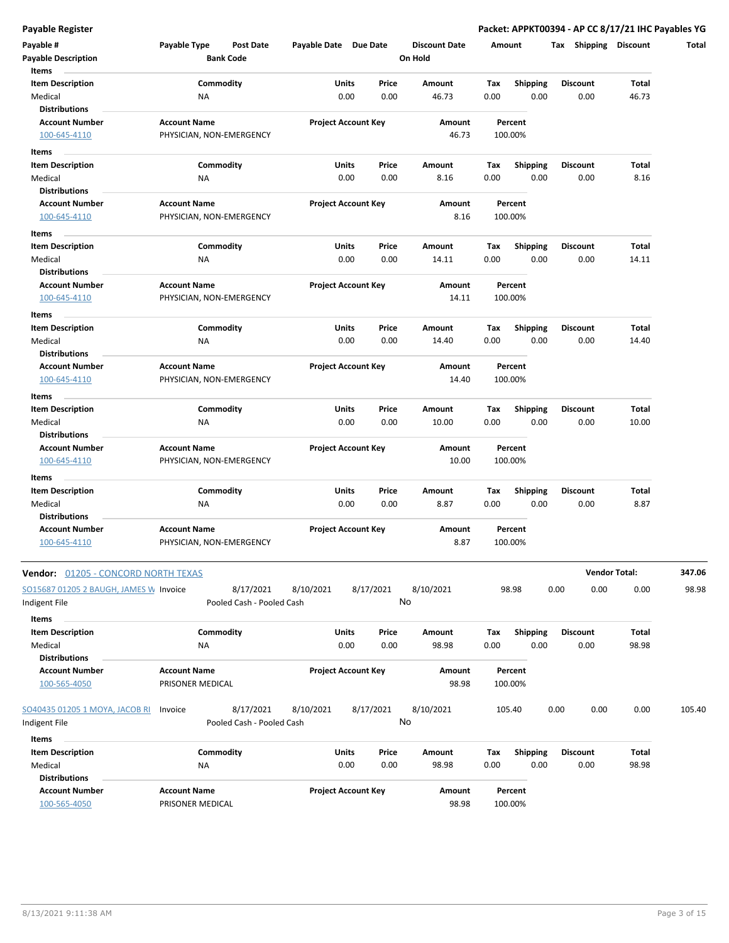**Payable Register Packet: APPKT00394 - AP CC 8/17/21 IHC Payables YG**

| Payable #<br><b>Payable Description</b>                             | Payable Type                                    | <b>Post Date</b><br><b>Bank Code</b>   | Payable Date Due Date |                            | <b>Discount Date</b><br>On Hold | Amount      |                         | <b>Shipping</b><br>Тах  | <b>Discount</b>      | Total  |
|---------------------------------------------------------------------|-------------------------------------------------|----------------------------------------|-----------------------|----------------------------|---------------------------------|-------------|-------------------------|-------------------------|----------------------|--------|
| Items<br><b>Item Description</b><br>Medical<br><b>Distributions</b> | NA                                              | Commodity                              | Units                 | Price<br>0.00<br>0.00      | Amount<br>46.73                 | Tax<br>0.00 | <b>Shipping</b><br>0.00 | <b>Discount</b><br>0.00 | Total<br>46.73       |        |
| <b>Account Number</b><br>100-645-4110                               | <b>Account Name</b><br>PHYSICIAN, NON-EMERGENCY |                                        |                       | <b>Project Account Key</b> | Amount<br>46.73                 |             | Percent<br>100.00%      |                         |                      |        |
| Items                                                               |                                                 |                                        |                       |                            |                                 |             |                         |                         |                      |        |
| <b>Item Description</b><br>Medical                                  | ΝA                                              | Commodity                              | Units                 | Price<br>0.00<br>0.00      | Amount<br>8.16                  | Tax<br>0.00 | <b>Shipping</b><br>0.00 | <b>Discount</b><br>0.00 | Total<br>8.16        |        |
| Distributions<br><b>Account Number</b><br>100-645-4110              | <b>Account Name</b><br>PHYSICIAN, NON-EMERGENCY |                                        |                       | <b>Project Account Key</b> | Amount<br>8.16                  |             | Percent<br>100.00%      |                         |                      |        |
| Items                                                               |                                                 |                                        |                       |                            |                                 |             |                         |                         |                      |        |
| <b>Item Description</b><br>Medical                                  | ΝA                                              | Commodity                              | Units                 | Price<br>0.00<br>0.00      | Amount<br>14.11                 | Tax<br>0.00 | <b>Shipping</b><br>0.00 | <b>Discount</b><br>0.00 | Total<br>14.11       |        |
| <b>Distributions</b><br><b>Account Number</b><br>100-645-4110       | <b>Account Name</b><br>PHYSICIAN, NON-EMERGENCY |                                        |                       | <b>Project Account Key</b> | Amount<br>14.11                 |             | Percent<br>100.00%      |                         |                      |        |
| Items<br><b>Item Description</b>                                    |                                                 | Commodity                              | Units                 | Price                      | Amount                          | Tax         | <b>Shipping</b>         | <b>Discount</b>         | Total                |        |
| Medical<br><b>Distributions</b>                                     | ΝA                                              |                                        |                       | 0.00<br>0.00               | 14.40                           | 0.00        | 0.00                    | 0.00                    | 14.40                |        |
| <b>Account Number</b><br>100-645-4110                               | <b>Account Name</b><br>PHYSICIAN, NON-EMERGENCY |                                        |                       | <b>Project Account Key</b> | Amount<br>14.40                 |             | Percent<br>100.00%      |                         |                      |        |
| Items                                                               |                                                 |                                        |                       |                            |                                 |             |                         |                         |                      |        |
| <b>Item Description</b><br>Medical<br><b>Distributions</b>          | NA                                              | Commodity                              | Units                 | Price<br>0.00<br>0.00      | Amount<br>10.00                 | Tax<br>0.00 | <b>Shipping</b><br>0.00 | <b>Discount</b><br>0.00 | Total<br>10.00       |        |
| <b>Account Number</b><br>100-645-4110                               | <b>Account Name</b><br>PHYSICIAN, NON-EMERGENCY |                                        |                       | <b>Project Account Key</b> | Amount<br>10.00                 |             | Percent<br>100.00%      |                         |                      |        |
| Items<br><b>Item Description</b><br>Medical<br><b>Distributions</b> | <b>NA</b>                                       | Commodity                              | Units                 | Price<br>0.00<br>0.00      | Amount<br>8.87                  | Tax<br>0.00 | <b>Shipping</b><br>0.00 | <b>Discount</b><br>0.00 | Total<br>8.87        |        |
| <b>Account Number</b><br>100-645-4110                               | <b>Account Name</b><br>PHYSICIAN, NON-EMERGENCY |                                        |                       | <b>Project Account Key</b> | Amount<br>8.87                  |             | Percent<br>100.00%      |                         |                      |        |
| <b>Vendor:</b> <u>01205 - CONCORD NORTH TEXAS</u>                   |                                                 |                                        |                       |                            |                                 |             |                         |                         | <b>Vendor Total:</b> | 347.06 |
| SO15687 01205 2 BAUGH, JAMES W Invoice<br>Indigent File             |                                                 | 8/17/2021<br>Pooled Cash - Pooled Cash | 8/10/2021             | 8/17/2021                  | 8/10/2021<br>No                 |             | 98.98                   | 0.00<br>0.00            | 0.00                 | 98.98  |
| Items<br><b>Item Description</b>                                    |                                                 | Commodity                              | Units                 | Price                      | Amount                          | Tax         | <b>Shipping</b>         | <b>Discount</b>         | Total                |        |
| Medical<br><b>Distributions</b>                                     | ΝA                                              |                                        |                       | 0.00<br>0.00               | 98.98                           | 0.00        | 0.00                    | 0.00                    | 98.98                |        |
| <b>Account Number</b><br>100-565-4050                               | <b>Account Name</b><br>PRISONER MEDICAL         |                                        |                       | <b>Project Account Key</b> | Amount<br>98.98                 |             | Percent<br>100.00%      |                         |                      |        |
| SO40435 01205 1 MOYA, JACOB RI<br>Indigent File                     | Invoice                                         | 8/17/2021<br>Pooled Cash - Pooled Cash | 8/10/2021             | 8/17/2021                  | 8/10/2021<br>No                 |             | 105.40                  | 0.00<br>0.00            | 0.00                 | 105.40 |
| Items                                                               |                                                 |                                        |                       |                            |                                 |             |                         |                         |                      |        |
| <b>Item Description</b><br>Medical                                  | NA                                              | Commodity                              | Units                 | Price<br>0.00<br>0.00      | Amount<br>98.98                 | Tax<br>0.00 | Shipping<br>0.00        | <b>Discount</b><br>0.00 | Total<br>98.98       |        |
| <b>Distributions</b><br><b>Account Number</b><br>100-565-4050       | <b>Account Name</b><br>PRISONER MEDICAL         |                                        |                       | <b>Project Account Key</b> | Amount<br>98.98                 |             | Percent<br>100.00%      |                         |                      |        |

 $\overline{\phantom{a}}$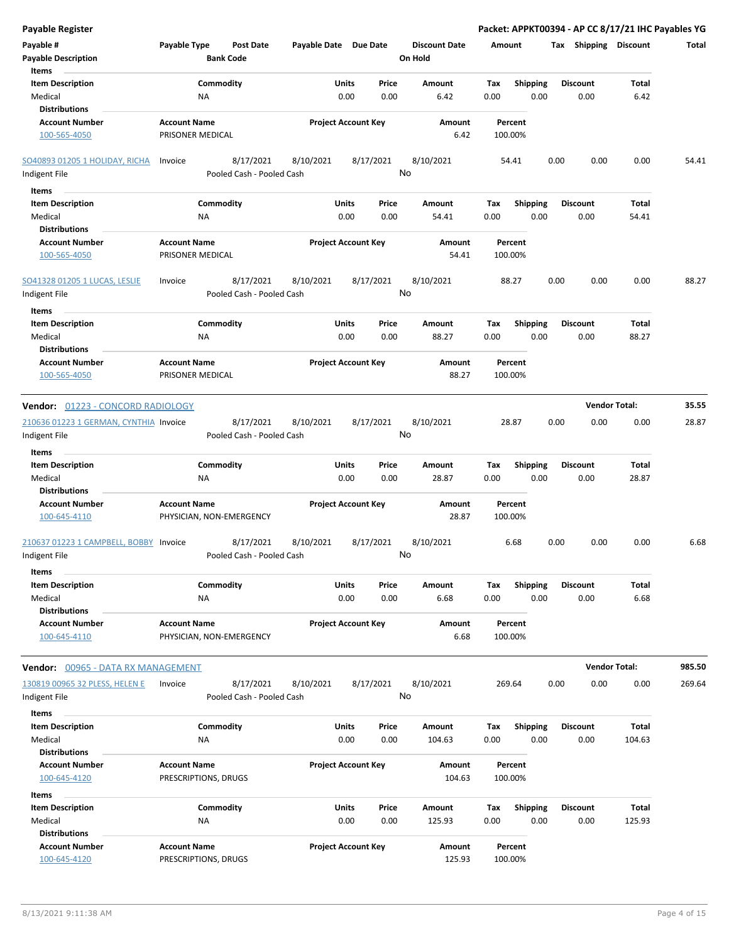| <b>Payable Register</b>                                    |                                                      |                            |                 |                                 | Packet: APPKT00394 - AP CC 8/17/21 IHC Payables YG |                         |                 |        |
|------------------------------------------------------------|------------------------------------------------------|----------------------------|-----------------|---------------------------------|----------------------------------------------------|-------------------------|-----------------|--------|
| Payable #<br><b>Payable Description</b>                    | Payable Type<br><b>Post Date</b><br><b>Bank Code</b> | Payable Date Due Date      |                 | <b>Discount Date</b><br>On Hold | Amount                                             | Tax Shipping Discount   |                 | Total  |
| Items                                                      |                                                      |                            |                 |                                 |                                                    |                         |                 |        |
| <b>Item Description</b><br>Medical                         | Commodity<br>ΝA                                      | Units<br>0.00              | Price<br>0.00   | <b>Amount</b><br>6.42           | Tax<br><b>Shipping</b><br>0.00<br>0.00             | <b>Discount</b><br>0.00 | Total<br>6.42   |        |
| <b>Distributions</b><br><b>Account Number</b>              | <b>Account Name</b>                                  |                            |                 |                                 |                                                    |                         |                 |        |
| 100-565-4050                                               | PRISONER MEDICAL                                     | <b>Project Account Key</b> |                 | Amount<br>6.42                  | Percent<br>100.00%                                 |                         |                 |        |
| <b>SO40893 01205 1 HOLIDAY, RICHA</b>                      | 8/17/2021<br>Invoice                                 | 8/10/2021                  | 8/17/2021       | 8/10/2021                       | 54.41                                              | 0.00<br>0.00            | 0.00            | 54.41  |
| Indigent File                                              | Pooled Cash - Pooled Cash                            |                            | No              |                                 |                                                    |                         |                 |        |
| Items                                                      |                                                      |                            |                 |                                 |                                                    |                         |                 |        |
| <b>Item Description</b>                                    | Commodity                                            | Units                      | Price           | Amount                          | Tax<br><b>Shipping</b>                             | Discount                | Total           |        |
| Medical                                                    | ΝA                                                   | 0.00                       | 0.00            | 54.41                           | 0.00<br>0.00                                       | 0.00                    | 54.41           |        |
| <b>Distributions</b>                                       |                                                      |                            |                 |                                 |                                                    |                         |                 |        |
| <b>Account Number</b><br>100-565-4050                      | <b>Account Name</b><br>PRISONER MEDICAL              | <b>Project Account Key</b> |                 | Amount<br>54.41                 | Percent<br>100.00%                                 |                         |                 |        |
| SO41328 01205 1 LUCAS, LESLIE                              | 8/17/2021<br>Invoice                                 | 8/10/2021                  | 8/17/2021<br>No | 8/10/2021                       | 88.27                                              | 0.00<br>0.00            | 0.00            | 88.27  |
| Indigent File                                              | Pooled Cash - Pooled Cash                            |                            |                 |                                 |                                                    |                         |                 |        |
| Items                                                      |                                                      |                            |                 |                                 |                                                    |                         |                 |        |
| <b>Item Description</b><br>Medical<br><b>Distributions</b> | Commodity<br>NA                                      | Units<br>0.00              | Price<br>0.00   | Amount<br>88.27                 | Tax<br><b>Shipping</b><br>0.00<br>0.00             | <b>Discount</b><br>0.00 | Total<br>88.27  |        |
| <b>Account Number</b><br>100-565-4050                      | <b>Account Name</b><br>PRISONER MEDICAL              | <b>Project Account Key</b> |                 | Amount<br>88.27                 | Percent<br>100.00%                                 |                         |                 |        |
| Vendor: 01223 - CONCORD RADIOLOGY                          |                                                      |                            |                 |                                 |                                                    | <b>Vendor Total:</b>    |                 | 35.55  |
| 210636 01223 1 GERMAN, CYNTHIA Invoice                     | 8/17/2021                                            | 8/10/2021                  | 8/17/2021       | 8/10/2021                       | 28.87                                              | 0.00<br>0.00            | 0.00            | 28.87  |
| Indigent File<br>Items                                     | Pooled Cash - Pooled Cash                            |                            | No              |                                 |                                                    |                         |                 |        |
| <b>Item Description</b>                                    | Commodity                                            | Units                      | Price           | Amount                          | <b>Shipping</b><br>Tax                             | Discount                | Total           |        |
| Medical<br><b>Distributions</b>                            | ΝA                                                   | 0.00                       | 0.00            | 28.87                           | 0.00<br>0.00                                       | 0.00                    | 28.87           |        |
| <b>Account Number</b><br>100-645-4110                      | <b>Account Name</b><br>PHYSICIAN, NON-EMERGENCY      | <b>Project Account Key</b> |                 | Amount<br>28.87                 | Percent<br>100.00%                                 |                         |                 |        |
| 210637 01223 1 CAMPBELL, BOBBY Invoice<br>Indigent File    | 8/17/2021<br>Pooled Cash - Pooled Cash               | 8/10/2021                  | 8/17/2021<br>No | 8/10/2021                       | 6.68                                               | 0.00<br>0.00            | 0.00            | 6.68   |
| Items                                                      |                                                      |                            |                 |                                 |                                                    |                         |                 |        |
| <b>Item Description</b><br>Medical<br><b>Distributions</b> | Commodity<br>NA                                      | Units<br>0.00              | Price<br>0.00   | Amount<br>6.68                  | <b>Shipping</b><br>Tax<br>0.00<br>0.00             | <b>Discount</b><br>0.00 | Total<br>6.68   |        |
| <b>Account Number</b><br>100-645-4110                      | <b>Account Name</b><br>PHYSICIAN, NON-EMERGENCY      | <b>Project Account Key</b> |                 | Amount<br>6.68                  | Percent<br>100.00%                                 |                         |                 |        |
| Vendor: 00965 - DATA RX MANAGEMENT                         |                                                      |                            |                 |                                 |                                                    | <b>Vendor Total:</b>    |                 | 985.50 |
| 130819 00965 32 PLESS, HELEN E                             | 8/17/2021<br>Invoice                                 | 8/10/2021                  | 8/17/2021       | 8/10/2021                       | 269.64                                             | 0.00<br>0.00            | 0.00            | 269.64 |
| Indigent File                                              | Pooled Cash - Pooled Cash                            |                            | No              |                                 |                                                    |                         |                 |        |
| Items                                                      |                                                      |                            |                 |                                 |                                                    |                         |                 |        |
| <b>Item Description</b>                                    | Commodity                                            | Units                      | Price           | Amount                          | Shipping<br>Tax                                    | <b>Discount</b>         | Total           |        |
| Medical                                                    | ΝA                                                   | 0.00                       | 0.00            | 104.63                          | 0.00<br>0.00                                       | 0.00                    | 104.63          |        |
| <b>Distributions</b>                                       |                                                      |                            |                 |                                 |                                                    |                         |                 |        |
| <b>Account Number</b>                                      | <b>Account Name</b>                                  | <b>Project Account Key</b> |                 | Amount                          | Percent                                            |                         |                 |        |
| 100-645-4120                                               | PRESCRIPTIONS, DRUGS                                 |                            |                 | 104.63                          | 100.00%                                            |                         |                 |        |
| Items                                                      |                                                      |                            |                 |                                 |                                                    |                         |                 |        |
| <b>Item Description</b><br>Medical                         | Commodity<br>NA                                      | Units<br>0.00              | Price<br>0.00   | Amount<br>125.93                | <b>Shipping</b><br>Tax<br>0.00<br>0.00             | <b>Discount</b><br>0.00 | Total<br>125.93 |        |
| <b>Distributions</b>                                       |                                                      |                            |                 |                                 |                                                    |                         |                 |        |
| <b>Account Number</b>                                      | <b>Account Name</b>                                  | <b>Project Account Key</b> |                 | Amount                          | Percent                                            |                         |                 |        |
| 100-645-4120                                               | PRESCRIPTIONS, DRUGS                                 |                            |                 | 125.93                          | 100.00%                                            |                         |                 |        |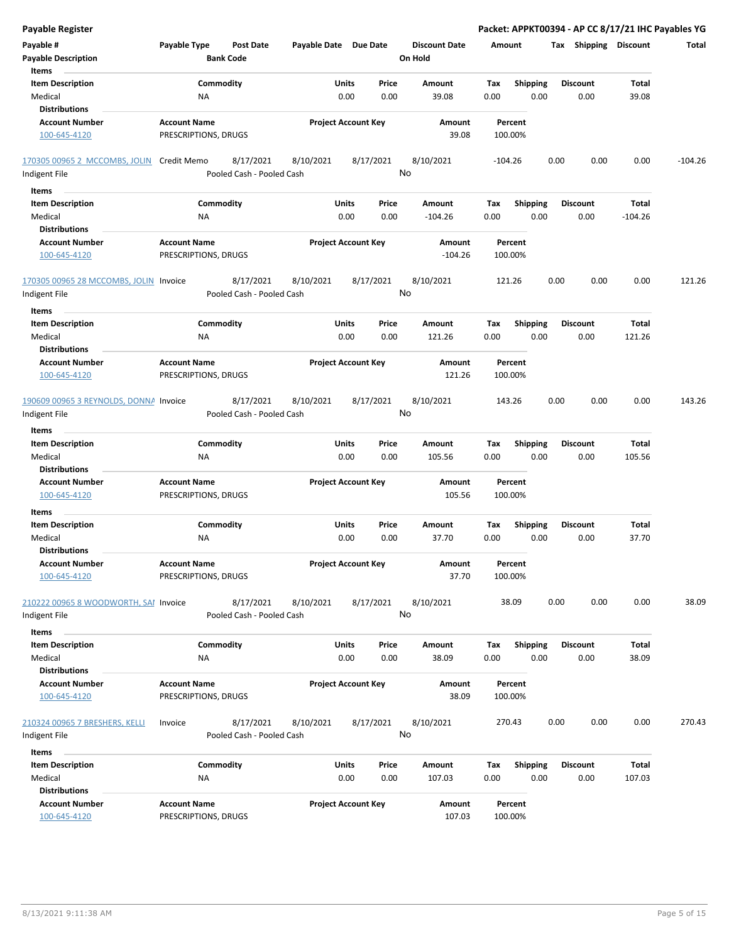| <b>Payable Register</b>                                |                                             |                                        |                            |               |               |                                 |             |                         |      |                         | Packet: APPKT00394 - AP CC 8/17/21 IHC Payables YG |           |
|--------------------------------------------------------|---------------------------------------------|----------------------------------------|----------------------------|---------------|---------------|---------------------------------|-------------|-------------------------|------|-------------------------|----------------------------------------------------|-----------|
| Payable #<br><b>Payable Description</b>                | Payable Type                                | <b>Post Date</b><br><b>Bank Code</b>   | Payable Date Due Date      |               |               | <b>Discount Date</b><br>On Hold | Amount      |                         |      | Tax Shipping Discount   |                                                    | Total     |
| Items<br><b>Item Description</b>                       |                                             |                                        |                            | Units         | Price         | Amount                          |             |                         |      | <b>Discount</b>         | <b>Total</b>                                       |           |
| Medical                                                | NA                                          | Commodity                              |                            | 0.00          | 0.00          | 39.08                           | Tax<br>0.00 | <b>Shipping</b><br>0.00 |      | 0.00                    | 39.08                                              |           |
| <b>Distributions</b>                                   |                                             |                                        |                            |               |               |                                 |             |                         |      |                         |                                                    |           |
| <b>Account Number</b>                                  | <b>Account Name</b>                         |                                        | <b>Project Account Key</b> |               |               | Amount                          |             | Percent                 |      |                         |                                                    |           |
| 100-645-4120                                           | PRESCRIPTIONS, DRUGS                        |                                        |                            |               |               | 39.08                           |             | 100.00%                 |      |                         |                                                    |           |
| 170305 00965 2 MCCOMBS, JOLIN                          | Credit Memo                                 | 8/17/2021                              | 8/10/2021                  |               | 8/17/2021     | 8/10/2021                       | $-104.26$   |                         | 0.00 | 0.00                    | 0.00                                               | $-104.26$ |
| Indigent File                                          |                                             | Pooled Cash - Pooled Cash              |                            |               |               | No                              |             |                         |      |                         |                                                    |           |
| Items                                                  |                                             |                                        |                            |               |               |                                 |             |                         |      |                         |                                                    |           |
| <b>Item Description</b>                                |                                             | Commodity                              |                            | Units         | Price         | Amount                          | Tax         | <b>Shipping</b>         |      | <b>Discount</b>         | Total                                              |           |
| Medical                                                | <b>NA</b>                                   |                                        |                            | 0.00          | 0.00          | $-104.26$                       | 0.00        | 0.00                    |      | 0.00                    | $-104.26$                                          |           |
| <b>Distributions</b>                                   |                                             |                                        |                            |               |               |                                 |             |                         |      |                         |                                                    |           |
| <b>Account Number</b><br>100-645-4120                  | <b>Account Name</b><br>PRESCRIPTIONS, DRUGS |                                        | <b>Project Account Key</b> |               |               | Amount<br>$-104.26$             |             | Percent<br>100.00%      |      |                         |                                                    |           |
| 170305 00965 28 MCCOMBS, JOLIN Invoice                 |                                             | 8/17/2021                              | 8/10/2021                  |               | 8/17/2021     | 8/10/2021                       |             | 121.26                  | 0.00 | 0.00                    | 0.00                                               | 121.26    |
| Indigent File                                          |                                             | Pooled Cash - Pooled Cash              |                            |               |               | No                              |             |                         |      |                         |                                                    |           |
| Items                                                  |                                             |                                        |                            |               |               |                                 |             |                         |      |                         |                                                    |           |
| <b>Item Description</b>                                |                                             | Commodity                              |                            | Units         | Price         | Amount                          | Tax         | <b>Shipping</b>         |      | <b>Discount</b>         | <b>Total</b>                                       |           |
| Medical                                                | <b>NA</b>                                   |                                        |                            | 0.00          | 0.00          | 121.26                          | 0.00        | 0.00                    |      | 0.00                    | 121.26                                             |           |
| <b>Distributions</b>                                   |                                             |                                        |                            |               |               |                                 |             |                         |      |                         |                                                    |           |
| <b>Account Number</b>                                  | <b>Account Name</b>                         |                                        | <b>Project Account Key</b> |               |               | Amount                          |             | Percent                 |      |                         |                                                    |           |
| 100-645-4120                                           | PRESCRIPTIONS, DRUGS                        |                                        |                            |               |               | 121.26                          |             | 100.00%                 |      |                         |                                                    |           |
| 190609 00965 3 REYNOLDS, DONNA Invoice                 |                                             | 8/17/2021                              | 8/10/2021                  |               | 8/17/2021     | 8/10/2021                       |             | 143.26                  | 0.00 | 0.00                    | 0.00                                               | 143.26    |
| Indigent File                                          |                                             | Pooled Cash - Pooled Cash              |                            |               |               | No                              |             |                         |      |                         |                                                    |           |
| Items                                                  |                                             |                                        |                            |               |               |                                 |             |                         |      |                         |                                                    |           |
| <b>Item Description</b>                                |                                             | Commodity                              |                            | Units         | Price         | Amount                          | Tax         | <b>Shipping</b>         |      | <b>Discount</b>         | Total                                              |           |
| Medical                                                | <b>NA</b>                                   |                                        |                            | 0.00          | 0.00          | 105.56                          | 0.00        | 0.00                    |      | 0.00                    | 105.56                                             |           |
| <b>Distributions</b>                                   |                                             |                                        |                            |               |               |                                 |             |                         |      |                         |                                                    |           |
| <b>Account Number</b><br>100-645-4120                  | <b>Account Name</b><br>PRESCRIPTIONS, DRUGS |                                        | <b>Project Account Key</b> |               |               | Amount<br>105.56                |             | Percent<br>100.00%      |      |                         |                                                    |           |
|                                                        |                                             |                                        |                            |               |               |                                 |             |                         |      |                         |                                                    |           |
| Items                                                  |                                             |                                        |                            |               |               |                                 |             |                         |      |                         |                                                    |           |
| <b>Item Description</b><br>Medical                     | <b>NA</b>                                   | Commodity                              |                            | Units<br>0.00 | Price<br>0.00 | Amount<br>37.70                 | Tax<br>0.00 | <b>Shipping</b><br>0.00 |      | <b>Discount</b><br>0.00 | Total<br>37.70                                     |           |
| <b>Distributions</b>                                   |                                             |                                        |                            |               |               |                                 |             |                         |      |                         |                                                    |           |
| <b>Account Number</b><br>100-645-4120                  | <b>Account Name</b><br>PRESCRIPTIONS, DRUGS |                                        | <b>Project Account Key</b> |               |               | Amount<br>37.70                 |             | Percent<br>100.00%      |      |                         |                                                    |           |
| 210222 00965 8 WOODWORTH, SAI Invoice<br>Indigent File |                                             | 8/17/2021<br>Pooled Cash - Pooled Cash | 8/10/2021                  |               | 8/17/2021     | 8/10/2021<br>No                 |             | 38.09                   | 0.00 | 0.00                    | 0.00                                               | 38.09     |
|                                                        |                                             |                                        |                            |               |               |                                 |             |                         |      |                         |                                                    |           |
| Items<br><b>Item Description</b>                       |                                             | Commodity                              |                            | Units         | Price         | Amount                          | Tax         | <b>Shipping</b>         |      | <b>Discount</b>         | Total                                              |           |
| Medical                                                | <b>NA</b>                                   |                                        |                            | 0.00          | 0.00          | 38.09                           | 0.00        | 0.00                    |      | 0.00                    | 38.09                                              |           |
| <b>Distributions</b>                                   |                                             |                                        |                            |               |               |                                 |             |                         |      |                         |                                                    |           |
| <b>Account Number</b>                                  | <b>Account Name</b>                         |                                        | <b>Project Account Key</b> |               |               | Amount                          |             | Percent                 |      |                         |                                                    |           |
| 100-645-4120                                           | PRESCRIPTIONS, DRUGS                        |                                        |                            |               |               | 38.09                           |             | 100.00%                 |      |                         |                                                    |           |
| 210324 00965 7 BRESHERS, KELLI                         | Invoice                                     | 8/17/2021                              | 8/10/2021                  |               | 8/17/2021     | 8/10/2021                       |             | 270.43                  | 0.00 | 0.00                    | 0.00                                               | 270.43    |
| Indigent File                                          |                                             | Pooled Cash - Pooled Cash              |                            |               | No            |                                 |             |                         |      |                         |                                                    |           |
|                                                        |                                             |                                        |                            |               |               |                                 |             |                         |      |                         |                                                    |           |
| <b>Items</b><br><b>Item Description</b>                |                                             | Commodity                              |                            | Units         | Price         |                                 |             |                         |      | <b>Discount</b>         | Total                                              |           |
| Medical                                                | NA                                          |                                        |                            | 0.00          | 0.00          | Amount<br>107.03                | Tax<br>0.00 | <b>Shipping</b><br>0.00 |      | 0.00                    | 107.03                                             |           |
| <b>Distributions</b>                                   |                                             |                                        |                            |               |               |                                 |             |                         |      |                         |                                                    |           |
| <b>Account Number</b>                                  | <b>Account Name</b>                         |                                        | <b>Project Account Key</b> |               |               | Amount                          |             | Percent                 |      |                         |                                                    |           |
| 100-645-4120                                           | PRESCRIPTIONS, DRUGS                        |                                        |                            |               |               | 107.03                          |             | 100.00%                 |      |                         |                                                    |           |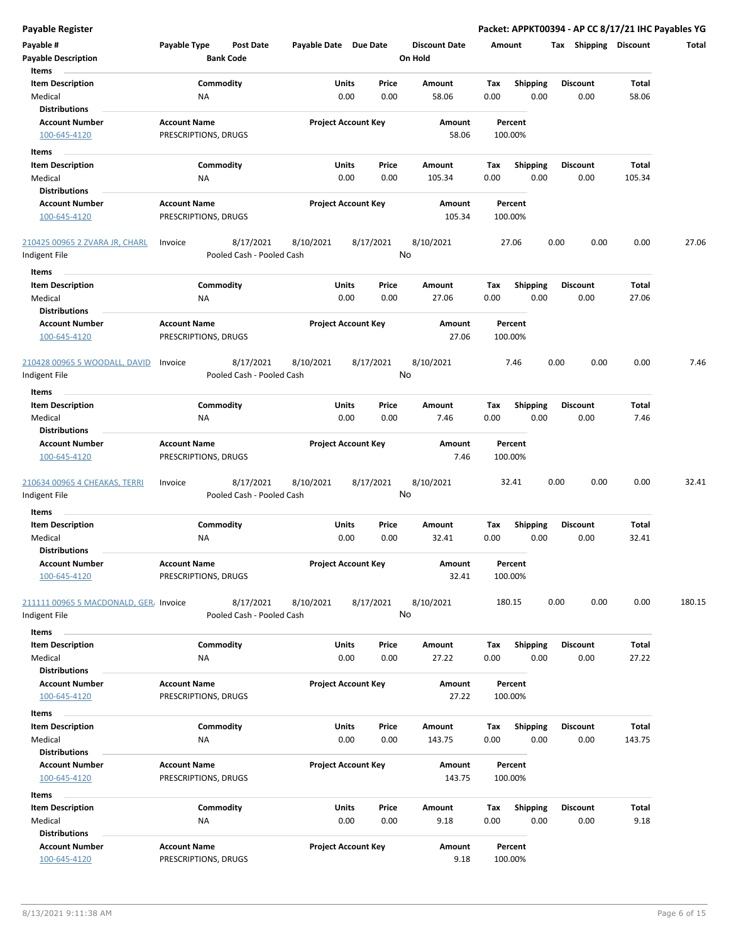| Payable #<br><b>Payable Description</b><br>Items              | Payable Type                                | <b>Post Date</b><br><b>Bank Code</b>   |           | Payable Date Due Date          | <b>Discount Date</b><br>On Hold | Amount             |                         | <b>Shipping</b><br>Tax  | <b>Discount</b>       | Total  |
|---------------------------------------------------------------|---------------------------------------------|----------------------------------------|-----------|--------------------------------|---------------------------------|--------------------|-------------------------|-------------------------|-----------------------|--------|
| <b>Item Description</b><br>Medical                            | <b>NA</b>                                   | Commodity                              |           | Units<br>Price<br>0.00<br>0.00 | Amount<br>58.06                 | Tax<br>0.00        | <b>Shipping</b><br>0.00 | <b>Discount</b><br>0.00 | Total<br>58.06        |        |
| <b>Distributions</b><br><b>Account Number</b><br>100-645-4120 | <b>Account Name</b><br>PRESCRIPTIONS, DRUGS |                                        |           | <b>Project Account Key</b>     | Amount<br>58.06                 | Percent<br>100.00% |                         |                         |                       |        |
| Items                                                         |                                             |                                        |           |                                |                                 |                    |                         |                         |                       |        |
| <b>Item Description</b>                                       |                                             | Commodity                              |           | Units<br>Price                 | Amount                          | Tax                | <b>Shipping</b>         | <b>Discount</b>         | <b>Total</b>          |        |
| Medical                                                       | <b>NA</b>                                   |                                        |           | 0.00<br>0.00                   | 105.34                          | 0.00               | 0.00                    | 0.00                    | 105.34                |        |
| <b>Distributions</b>                                          |                                             |                                        |           |                                |                                 |                    |                         |                         |                       |        |
| <b>Account Number</b>                                         | <b>Account Name</b>                         |                                        |           | <b>Project Account Key</b>     | Amount                          | Percent            |                         |                         |                       |        |
| 100-645-4120                                                  | PRESCRIPTIONS, DRUGS                        |                                        |           |                                | 105.34                          | 100.00%            |                         |                         |                       |        |
| 210425 00965 2 ZVARA JR, CHARL                                | Invoice                                     | 8/17/2021                              | 8/10/2021 | 8/17/2021                      | 8/10/2021                       | 27.06              |                         | 0.00<br>0.00            | 0.00                  | 27.06  |
| Indigent File                                                 |                                             | Pooled Cash - Pooled Cash              |           |                                | No                              |                    |                         |                         |                       |        |
| Items                                                         |                                             |                                        |           |                                |                                 |                    |                         |                         |                       |        |
| <b>Item Description</b><br>Medical                            | <b>NA</b>                                   | Commodity                              |           | Units<br>Price<br>0.00<br>0.00 | Amount<br>27.06                 | Tax<br>0.00        | <b>Shipping</b><br>0.00 | <b>Discount</b><br>0.00 | <b>Total</b><br>27.06 |        |
| <b>Distributions</b>                                          |                                             |                                        |           |                                |                                 |                    |                         |                         |                       |        |
| <b>Account Number</b><br>100-645-4120                         | <b>Account Name</b><br>PRESCRIPTIONS, DRUGS |                                        |           | <b>Project Account Key</b>     | Amount<br>27.06                 | Percent<br>100.00% |                         |                         |                       |        |
| 210428 00965 5 WOODALL, DAVID<br>Indigent File                | Invoice                                     | 8/17/2021<br>Pooled Cash - Pooled Cash | 8/10/2021 | 8/17/2021                      | 8/10/2021<br>No                 | 7.46               |                         | 0.00<br>0.00            | 0.00                  | 7.46   |
| Items                                                         |                                             |                                        |           |                                |                                 |                    |                         |                         |                       |        |
| <b>Item Description</b>                                       |                                             | Commodity                              |           | Units<br>Price                 | Amount                          | Tax                | <b>Shipping</b>         | <b>Discount</b>         | Total                 |        |
| Medical<br><b>Distributions</b>                               | <b>NA</b>                                   |                                        |           | 0.00<br>0.00                   | 7.46                            | 0.00               | 0.00                    | 0.00                    | 7.46                  |        |
| <b>Account Number</b><br>100-645-4120                         | <b>Account Name</b><br>PRESCRIPTIONS, DRUGS |                                        |           | <b>Project Account Key</b>     | Amount<br>7.46                  | Percent<br>100.00% |                         |                         |                       |        |
| 210634 00965 4 CHEAKAS, TERRI<br>Indigent File                | Invoice                                     | 8/17/2021<br>Pooled Cash - Pooled Cash | 8/10/2021 | 8/17/2021                      | 8/10/2021<br>No                 | 32.41              |                         | 0.00<br>0.00            | 0.00                  | 32.41  |
| Items                                                         |                                             |                                        |           |                                |                                 |                    |                         |                         |                       |        |
| <b>Item Description</b><br>Medical<br><b>Distributions</b>    | ΝA                                          | Commodity                              |           | Units<br>Price<br>0.00<br>0.00 | Amount<br>32.41                 | Tax<br>0.00        | <b>Shipping</b><br>0.00 | <b>Discount</b><br>0.00 | Total<br>32.41        |        |
| <b>Account Number</b><br>100-645-4120                         | <b>Account Name</b><br>PRESCRIPTIONS, DRUGS |                                        |           | <b>Project Account Key</b>     | Amount<br>32.41                 | Percent<br>100.00% |                         |                         |                       |        |
| 211111 00965 5 MACDONALD, GER, Invoice<br>Indigent File       |                                             | 8/17/2021<br>Pooled Cash - Pooled Cash | 8/10/2021 | 8/17/2021                      | 8/10/2021<br>No                 | 180.15             |                         | 0.00<br>0.00            | 0.00                  | 180.15 |
| Items                                                         |                                             |                                        |           |                                |                                 |                    |                         |                         |                       |        |
| <b>Item Description</b>                                       |                                             | Commodity                              |           | Units<br>Price                 | Amount                          | Tax                | <b>Shipping</b>         | <b>Discount</b>         | Total                 |        |
| Medical<br><b>Distributions</b>                               | NA                                          |                                        |           | 0.00<br>0.00                   | 27.22                           | 0.00               | 0.00                    | 0.00                    | 27.22                 |        |
| <b>Account Number</b><br>100-645-4120                         | <b>Account Name</b><br>PRESCRIPTIONS, DRUGS |                                        |           | <b>Project Account Key</b>     | Amount<br>27.22                 | Percent<br>100.00% |                         |                         |                       |        |
| Items                                                         |                                             |                                        |           |                                |                                 |                    |                         |                         |                       |        |
| <b>Item Description</b>                                       |                                             | Commodity                              |           | Units<br>Price                 | Amount                          | Тах                | <b>Shipping</b>         | <b>Discount</b>         | Total                 |        |
| Medical                                                       | NA                                          |                                        |           | 0.00<br>0.00                   | 143.75                          | 0.00               | 0.00                    | 0.00                    | 143.75                |        |
| <b>Distributions</b>                                          |                                             |                                        |           |                                |                                 |                    |                         |                         |                       |        |
| <b>Account Number</b><br>100-645-4120                         | <b>Account Name</b><br>PRESCRIPTIONS, DRUGS |                                        |           | <b>Project Account Key</b>     | Amount<br>143.75                | Percent<br>100.00% |                         |                         |                       |        |
| Items                                                         |                                             |                                        |           |                                |                                 |                    |                         |                         |                       |        |
| <b>Item Description</b>                                       |                                             | Commodity                              |           | Units<br>Price                 | Amount                          | Tax                | <b>Shipping</b>         | <b>Discount</b>         | Total                 |        |

**Payable Register Packet: APPKT00394 - AP CC 8/17/21 IHC Payables YG**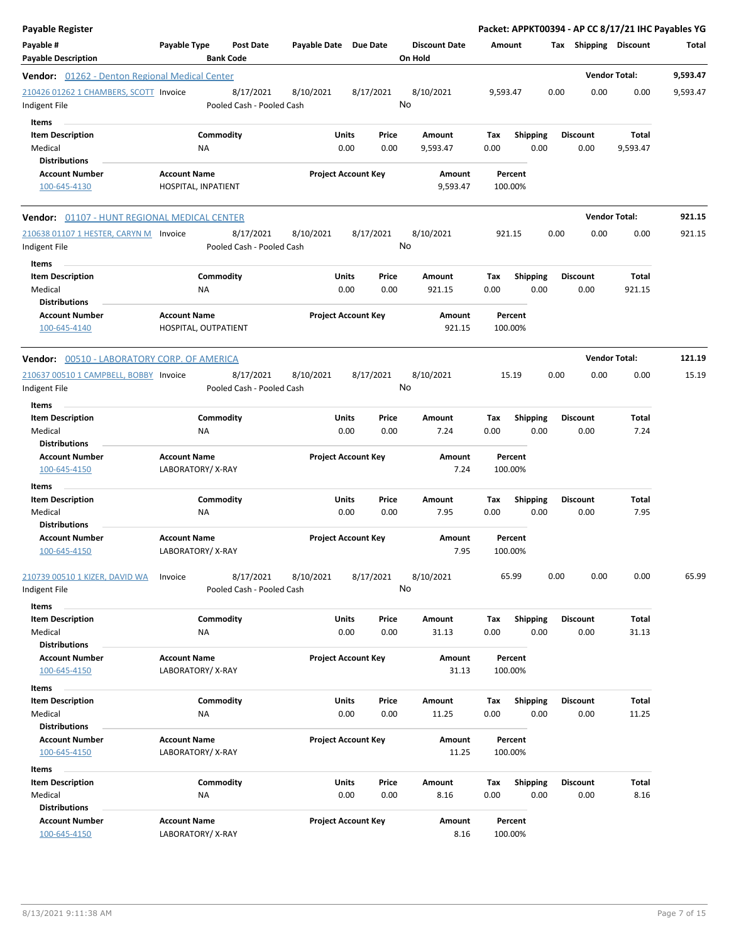| Payable Register                                                    |                                                      |                       |                            |                                 |                    | Packet: APPKT00394 - AP CC 8/17/21 IHC Payables YG |                         |                      |          |
|---------------------------------------------------------------------|------------------------------------------------------|-----------------------|----------------------------|---------------------------------|--------------------|----------------------------------------------------|-------------------------|----------------------|----------|
| Payable #<br><b>Payable Description</b>                             | Payable Type<br><b>Post Date</b><br><b>Bank Code</b> | Payable Date Due Date |                            | <b>Discount Date</b><br>On Hold | Amount             |                                                    | Tax Shipping Discount   |                      | Total    |
| <b>Vendor:</b> 01262 - Denton Regional Medical Center               |                                                      |                       |                            |                                 |                    |                                                    |                         | <b>Vendor Total:</b> | 9,593.47 |
| 210426 01262 1 CHAMBERS, SCOTT Invoice<br>Indigent File             | 8/17/2021<br>Pooled Cash - Pooled Cash               | 8/10/2021             | 8/17/2021                  | 8/10/2021<br>No                 | 9,593.47           |                                                    | 0.00<br>0.00            | 0.00                 | 9,593.47 |
| Items<br><b>Item Description</b><br>Medical<br><b>Distributions</b> | Commodity<br>ΝA                                      | Units                 | Price<br>0.00<br>0.00      | Amount<br>9,593.47              | Tax<br>0.00        | <b>Shipping</b><br>0.00                            | <b>Discount</b><br>0.00 | Total<br>9,593.47    |          |
| <b>Account Number</b><br>100-645-4130                               | <b>Account Name</b><br>HOSPITAL, INPATIENT           |                       | <b>Project Account Key</b> | Amount<br>9,593.47              | Percent<br>100.00% |                                                    |                         |                      |          |
| Vendor: 01107 - HUNT REGIONAL MEDICAL CENTER                        |                                                      |                       |                            |                                 |                    |                                                    |                         | <b>Vendor Total:</b> | 921.15   |
| 210638 01107 1 HESTER, CARYN M Invoice<br>Indigent File<br>Items    | 8/17/2021<br>Pooled Cash - Pooled Cash               | 8/10/2021             | 8/17/2021                  | 8/10/2021<br>No                 | 921.15             |                                                    | 0.00<br>0.00            | 0.00                 | 921.15   |
| <b>Item Description</b><br>Medical<br><b>Distributions</b>          | Commodity<br>ΝA                                      | Units                 | Price<br>0.00<br>0.00      | Amount<br>921.15                | Tax<br>0.00        | <b>Shipping</b><br>0.00                            | <b>Discount</b><br>0.00 | Total<br>921.15      |          |
| <b>Account Number</b><br>100-645-4140                               | <b>Account Name</b><br>HOSPITAL, OUTPATIENT          |                       | <b>Project Account Key</b> | Amount<br>921.15                | Percent<br>100.00% |                                                    |                         |                      |          |
| Vendor: 00510 - LABORATORY CORP. OF AMERICA                         |                                                      |                       |                            |                                 |                    |                                                    |                         | <b>Vendor Total:</b> | 121.19   |
| 210637 00510 1 CAMPBELL, BOBBY Invoice<br>Indigent File             | 8/17/2021<br>Pooled Cash - Pooled Cash               | 8/10/2021             | 8/17/2021                  | 8/10/2021<br>No                 | 15.19              |                                                    | 0.00<br>0.00            | 0.00                 | 15.19    |
| Items<br><b>Item Description</b><br>Medical<br><b>Distributions</b> | Commodity<br>NA                                      | <b>Units</b>          | Price<br>0.00<br>0.00      | Amount<br>7.24                  | Tax<br>0.00        | <b>Shipping</b><br>0.00                            | Discount<br>0.00        | Total<br>7.24        |          |
| <b>Account Number</b><br>100-645-4150                               | <b>Account Name</b><br>LABORATORY/X-RAY              |                       | <b>Project Account Key</b> | Amount<br>7.24                  | Percent<br>100.00% |                                                    |                         |                      |          |
| Items<br><b>Item Description</b>                                    | Commodity                                            | Units                 | Price                      | Amount                          | Tax                | <b>Shipping</b>                                    | <b>Discount</b>         | Total                |          |
| Medical<br><b>Distributions</b>                                     | <b>NA</b>                                            |                       | 0.00<br>0.00               | 7.95                            | 0.00               | 0.00                                               | 0.00                    | 7.95                 |          |
| <b>Account Number</b><br>100-645-4150                               | <b>Account Name</b><br>LABORATORY/X-RAY              |                       | <b>Project Account Key</b> | Amount<br>7.95                  | Percent<br>100.00% |                                                    |                         |                      |          |
| 210739 00510 1 KIZER, DAVID WA<br>Indigent File                     | 8/17/2021<br>Invoice<br>Pooled Cash - Pooled Cash    | 8/10/2021             | 8/17/2021                  | 8/10/2021<br>No                 | 65.99              |                                                    | 0.00<br>0.00            | 0.00                 | 65.99    |
| Items<br><b>Item Description</b><br>Medical<br><b>Distributions</b> | Commodity<br>ΝA                                      | Units                 | Price<br>0.00<br>0.00      | Amount<br>31.13                 | Tax<br>0.00        | <b>Shipping</b><br>0.00                            | <b>Discount</b><br>0.00 | Total<br>31.13       |          |
| <b>Account Number</b><br>100-645-4150                               | <b>Account Name</b><br>LABORATORY/ X-RAY             |                       | <b>Project Account Key</b> | Amount<br>31.13                 | Percent<br>100.00% |                                                    |                         |                      |          |
| Items<br><b>Item Description</b>                                    | Commodity                                            | <b>Units</b>          | Price                      | Amount                          | Tax                | Shipping                                           | <b>Discount</b>         | Total                |          |
| Medical<br><b>Distributions</b>                                     | NA                                                   |                       | 0.00<br>0.00               | 11.25                           | 0.00               | 0.00                                               | 0.00                    | 11.25                |          |
| <b>Account Number</b><br>100-645-4150                               | <b>Account Name</b><br>LABORATORY/X-RAY              |                       | <b>Project Account Key</b> | Amount<br>11.25                 | Percent<br>100.00% |                                                    |                         |                      |          |
| Items<br><b>Item Description</b><br>Medical                         | Commodity<br>NA                                      | <b>Units</b>          | Price<br>0.00<br>0.00      | Amount<br>8.16                  | Tax<br>0.00        | <b>Shipping</b><br>0.00                            | <b>Discount</b><br>0.00 | Total<br>8.16        |          |
| <b>Distributions</b><br><b>Account Number</b><br>100-645-4150       | <b>Account Name</b><br>LABORATORY/X-RAY              |                       | <b>Project Account Key</b> | Amount<br>8.16                  | Percent<br>100.00% |                                                    |                         |                      |          |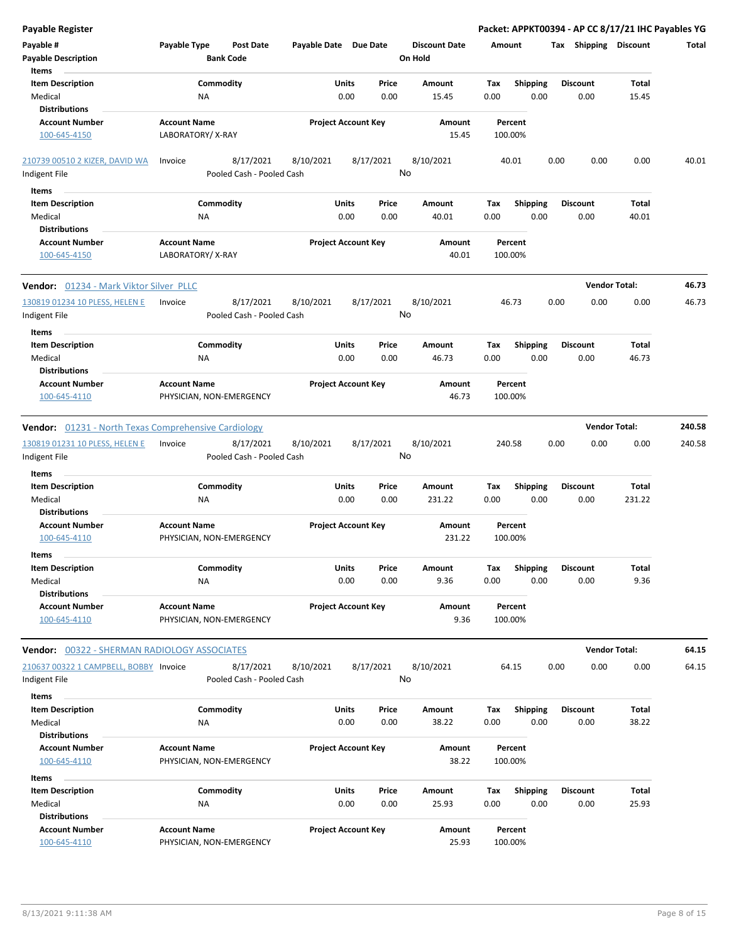| <b>Payable Register</b>                                     |                                  |                       |                            | Packet: APPKT00394 - AP CC 8/17/21 IHC Payables YG |             |                 |                       |                        |        |
|-------------------------------------------------------------|----------------------------------|-----------------------|----------------------------|----------------------------------------------------|-------------|-----------------|-----------------------|------------------------|--------|
| Payable #                                                   | Payable Type<br><b>Post Date</b> | Payable Date Due Date |                            | <b>Discount Date</b>                               | Amount      |                 | Tax Shipping Discount |                        | Total  |
| <b>Payable Description</b>                                  | <b>Bank Code</b>                 |                       |                            | On Hold                                            |             |                 |                       |                        |        |
| Items                                                       |                                  |                       |                            |                                                    |             |                 |                       |                        |        |
| <b>Item Description</b>                                     | Commodity                        | Units                 | Price                      | Amount                                             | Tax         | <b>Shipping</b> | <b>Discount</b>       | <b>Total</b>           |        |
| Medical                                                     | NA                               | 0.00                  | 0.00                       | 15.45                                              | 0.00        | 0.00            | 0.00                  | 15.45                  |        |
| <b>Distributions</b>                                        |                                  |                       |                            |                                                    |             |                 |                       |                        |        |
| <b>Account Number</b>                                       | <b>Account Name</b>              |                       | <b>Project Account Key</b> | Amount                                             | Percent     |                 |                       |                        |        |
| 100-645-4150                                                | LABORATORY/X-RAY                 |                       |                            | 15.45                                              | 100.00%     |                 |                       |                        |        |
|                                                             |                                  |                       |                            |                                                    |             |                 |                       |                        |        |
| 210739 00510 2 KIZER, DAVID WA                              | 8/17/2021<br>Invoice             | 8/10/2021             | 8/17/2021                  | 8/10/2021                                          | 40.01       |                 | 0.00<br>0.00          | 0.00                   | 40.01  |
| Indigent File                                               | Pooled Cash - Pooled Cash        |                       |                            | No                                                 |             |                 |                       |                        |        |
| Items                                                       |                                  |                       |                            |                                                    |             |                 |                       |                        |        |
| <b>Item Description</b>                                     | Commodity                        | Units                 | Price                      | Amount                                             | Tax         | <b>Shipping</b> | <b>Discount</b>       | Total                  |        |
| Medical                                                     | <b>NA</b>                        | 0.00                  | 0.00                       | 40.01                                              | 0.00        | 0.00            | 0.00                  | 40.01                  |        |
| <b>Distributions</b>                                        |                                  |                       |                            |                                                    |             |                 |                       |                        |        |
| <b>Account Number</b>                                       | <b>Account Name</b>              |                       | <b>Project Account Key</b> | Amount                                             | Percent     |                 |                       |                        |        |
| 100-645-4150                                                | LABORATORY/X-RAY                 |                       |                            | 40.01                                              | 100.00%     |                 |                       |                        |        |
| Vendor: 01234 - Mark Viktor Silver PLLC                     |                                  |                       |                            |                                                    |             |                 |                       | <b>Vendor Total:</b>   | 46.73  |
| 130819 01234 10 PLESS, HELEN E                              | 8/17/2021<br>Invoice             | 8/10/2021             | 8/17/2021                  | 8/10/2021                                          | 46.73       |                 | 0.00<br>0.00          | 0.00                   | 46.73  |
| Indigent File                                               | Pooled Cash - Pooled Cash        |                       |                            | No                                                 |             |                 |                       |                        |        |
|                                                             |                                  |                       |                            |                                                    |             |                 |                       |                        |        |
| Items                                                       |                                  |                       |                            |                                                    |             |                 |                       |                        |        |
| <b>Item Description</b>                                     | Commodity                        | Units                 | Price                      | Amount                                             | Tax         | <b>Shipping</b> | <b>Discount</b>       | Total                  |        |
| Medical                                                     | NA                               | 0.00                  | 0.00                       | 46.73                                              | 0.00        | 0.00            | 0.00                  | 46.73                  |        |
| <b>Distributions</b>                                        |                                  |                       |                            |                                                    |             |                 |                       |                        |        |
| <b>Account Number</b>                                       | <b>Account Name</b>              |                       | <b>Project Account Key</b> | Amount                                             | Percent     |                 |                       |                        |        |
| 100-645-4110                                                | PHYSICIAN, NON-EMERGENCY         |                       |                            | 46.73                                              | 100.00%     |                 |                       |                        |        |
| <b>Vendor:</b> 01231 - North Texas Comprehensive Cardiology |                                  |                       |                            |                                                    |             |                 |                       | <b>Vendor Total:</b>   | 240.58 |
| 130819 01231 10 PLESS, HELEN E                              | 8/17/2021<br>Invoice             | 8/10/2021             | 8/17/2021                  | 8/10/2021                                          | 240.58      |                 | 0.00<br>0.00          | 0.00                   | 240.58 |
| Indigent File                                               | Pooled Cash - Pooled Cash        |                       |                            | No                                                 |             |                 |                       |                        |        |
| <b>Items</b>                                                |                                  |                       |                            |                                                    |             |                 |                       |                        |        |
|                                                             |                                  |                       | Price                      |                                                    |             |                 |                       |                        |        |
| <b>Item Description</b>                                     | Commodity                        | Units<br>0.00         |                            | Amount                                             | Tax<br>0.00 | <b>Shipping</b> | <b>Discount</b>       | <b>Total</b><br>231.22 |        |
| Medical<br><b>Distributions</b>                             | <b>NA</b>                        |                       | 0.00                       | 231.22                                             |             | 0.00            | 0.00                  |                        |        |
| <b>Account Number</b>                                       | <b>Account Name</b>              |                       | <b>Project Account Key</b> | Amount                                             | Percent     |                 |                       |                        |        |
| 100-645-4110                                                | PHYSICIAN, NON-EMERGENCY         |                       |                            | 231.22                                             | 100.00%     |                 |                       |                        |        |
|                                                             |                                  |                       |                            |                                                    |             |                 |                       |                        |        |
| items                                                       |                                  |                       |                            |                                                    |             |                 |                       |                        |        |
| <b>Item Description</b>                                     | Commodity                        | Units                 | Price                      | Amount                                             | Тах         | <b>Shipping</b> | <b>Discount</b>       | Total                  |        |
| Medical                                                     | NA                               | 0.00                  | 0.00                       | 9.36                                               | 0.00        | 0.00            | 0.00                  | 9.36                   |        |
| <b>Distributions</b>                                        |                                  |                       |                            |                                                    |             |                 |                       |                        |        |
| <b>Account Number</b>                                       | <b>Account Name</b>              |                       | <b>Project Account Key</b> | Amount                                             | Percent     |                 |                       |                        |        |
| 100-645-4110                                                | PHYSICIAN, NON-EMERGENCY         |                       |                            | 9.36                                               | 100.00%     |                 |                       |                        |        |
| <b>Vendor: 00322 - SHERMAN RADIOLOGY ASSOCIATES</b>         |                                  |                       |                            |                                                    |             |                 |                       | <b>Vendor Total:</b>   | 64.15  |
| 210637 00322 1 CAMPBELL, BOBBY Invoice                      | 8/17/2021                        | 8/10/2021             | 8/17/2021                  | 8/10/2021                                          | 64.15       |                 | 0.00<br>0.00          | 0.00                   | 64.15  |
| Indigent File                                               | Pooled Cash - Pooled Cash        |                       |                            | No                                                 |             |                 |                       |                        |        |
|                                                             |                                  |                       |                            |                                                    |             |                 |                       |                        |        |
| Items                                                       |                                  |                       |                            |                                                    |             |                 |                       |                        |        |
| <b>Item Description</b>                                     | Commodity                        | Units                 | Price                      | Amount                                             | Tax         | <b>Shipping</b> | <b>Discount</b>       | Total                  |        |
| Medical                                                     | ΝA                               | 0.00                  | 0.00                       | 38.22                                              | 0.00        | 0.00            | 0.00                  | 38.22                  |        |
| <b>Distributions</b>                                        |                                  |                       |                            |                                                    |             |                 |                       |                        |        |
| <b>Account Number</b>                                       | <b>Account Name</b>              |                       | <b>Project Account Key</b> | Amount                                             | Percent     |                 |                       |                        |        |
| 100-645-4110                                                | PHYSICIAN, NON-EMERGENCY         |                       |                            | 38.22                                              | 100.00%     |                 |                       |                        |        |
| Items                                                       |                                  |                       |                            |                                                    |             |                 |                       |                        |        |
| <b>Item Description</b>                                     | Commodity                        | Units                 | Price                      | Amount                                             | Tax         | <b>Shipping</b> | <b>Discount</b>       | Total                  |        |
| Medical                                                     | NA                               | 0.00                  | 0.00                       | 25.93                                              | 0.00        | 0.00            | 0.00                  | 25.93                  |        |
| <b>Distributions</b>                                        |                                  |                       |                            |                                                    |             |                 |                       |                        |        |
| <b>Account Number</b>                                       | <b>Account Name</b>              |                       | <b>Project Account Key</b> | Amount                                             | Percent     |                 |                       |                        |        |
| 100-645-4110                                                | PHYSICIAN, NON-EMERGENCY         |                       |                            | 25.93                                              | 100.00%     |                 |                       |                        |        |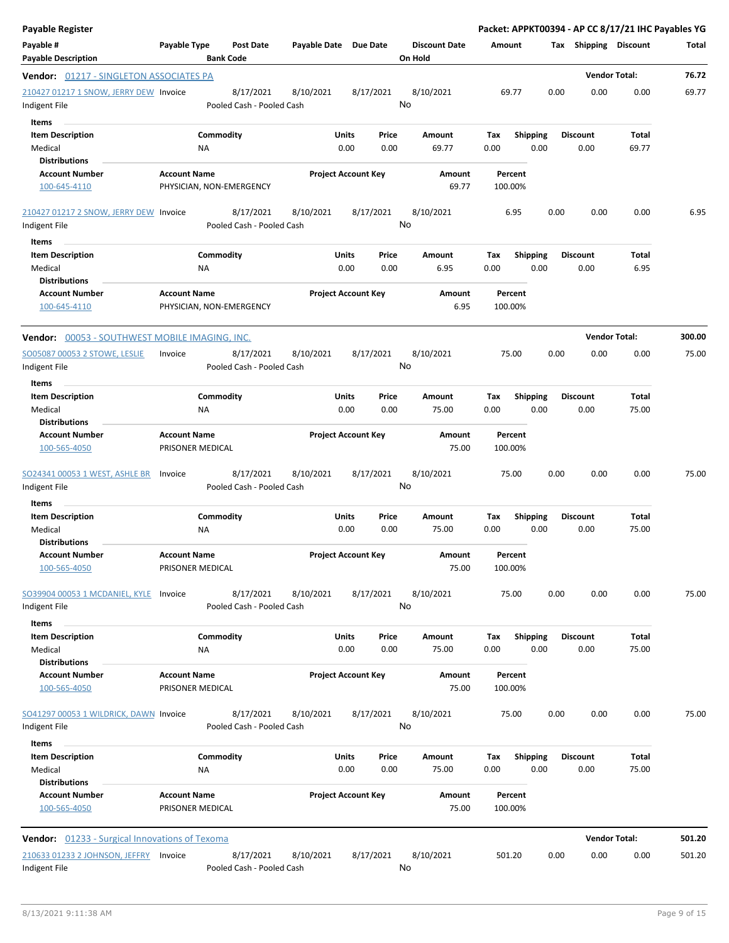| <b>Payable Register</b>                                 |                                                 |                                                     |                            |           |                                 |                    |                 |      |                       | Packet: APPKT00394 - AP CC 8/17/21 IHC Payables YG |        |
|---------------------------------------------------------|-------------------------------------------------|-----------------------------------------------------|----------------------------|-----------|---------------------------------|--------------------|-----------------|------|-----------------------|----------------------------------------------------|--------|
| Payable #<br><b>Payable Description</b>                 | Payable Type<br><b>Bank Code</b>                | Payable Date Due Date<br><b>Post Date</b>           |                            |           | <b>Discount Date</b><br>On Hold | Amount             |                 |      | Tax Shipping Discount |                                                    | Total  |
| <b>Vendor:</b> 01217 - SINGLETON ASSOCIATES PA          |                                                 |                                                     |                            |           |                                 |                    |                 |      |                       | <b>Vendor Total:</b>                               | 76.72  |
| 210427 01217 1 SNOW, JERRY DEW Invoice                  |                                                 | 8/17/2021<br>8/10/2021                              |                            | 8/17/2021 | 8/10/2021                       | 69.77              |                 | 0.00 | 0.00                  | 0.00                                               | 69.77  |
| Indigent File                                           |                                                 | Pooled Cash - Pooled Cash                           |                            |           | No                              |                    |                 |      |                       |                                                    |        |
| Items                                                   |                                                 |                                                     |                            |           |                                 |                    |                 |      |                       |                                                    |        |
| <b>Item Description</b>                                 | Commodity                                       |                                                     | Units                      | Price     | Amount                          | Tax                | <b>Shipping</b> |      | <b>Discount</b>       | Total                                              |        |
| Medical                                                 | ΝA                                              |                                                     | 0.00                       | 0.00      | 69.77                           | 0.00               | 0.00            |      | 0.00                  | 69.77                                              |        |
| <b>Distributions</b><br><b>Account Number</b>           | <b>Account Name</b>                             |                                                     | <b>Project Account Key</b> |           | Amount                          | Percent            |                 |      |                       |                                                    |        |
| 100-645-4110                                            | PHYSICIAN, NON-EMERGENCY                        |                                                     |                            |           | 69.77                           | 100.00%            |                 |      |                       |                                                    |        |
| 210427 01217 2 SNOW, JERRY DEW Invoice                  |                                                 | 8/17/2021<br>8/10/2021                              |                            | 8/17/2021 | 8/10/2021                       |                    | 6.95            | 0.00 | 0.00                  | 0.00                                               | 6.95   |
| Indigent File                                           |                                                 | Pooled Cash - Pooled Cash                           |                            |           | No                              |                    |                 |      |                       |                                                    |        |
| Items                                                   |                                                 |                                                     |                            |           |                                 |                    |                 |      |                       |                                                    |        |
| <b>Item Description</b>                                 | Commodity                                       |                                                     | Units                      | Price     | Amount                          | Tax                | <b>Shipping</b> |      | <b>Discount</b>       | Total                                              |        |
| Medical                                                 | NA                                              |                                                     | 0.00                       | 0.00      | 6.95                            | 0.00               | 0.00            |      | 0.00                  | 6.95                                               |        |
| <b>Distributions</b>                                    |                                                 |                                                     |                            |           |                                 |                    |                 |      |                       |                                                    |        |
| <b>Account Number</b><br>100-645-4110                   | <b>Account Name</b><br>PHYSICIAN, NON-EMERGENCY |                                                     | <b>Project Account Key</b> |           | Amount<br>6.95                  | Percent<br>100.00% |                 |      |                       |                                                    |        |
| Vendor: 00053 - SOUTHWEST MOBILE IMAGING, INC.          |                                                 |                                                     |                            |           |                                 |                    |                 |      |                       | <b>Vendor Total:</b>                               | 300.00 |
| SO05087 00053 2 STOWE, LESLIE                           | Invoice                                         | 8/17/2021<br>8/10/2021                              |                            | 8/17/2021 | 8/10/2021                       | 75.00              |                 | 0.00 | 0.00                  | 0.00                                               | 75.00  |
| Indigent File                                           |                                                 | Pooled Cash - Pooled Cash                           |                            |           | No                              |                    |                 |      |                       |                                                    |        |
| Items                                                   |                                                 |                                                     |                            |           |                                 |                    |                 |      |                       |                                                    |        |
| <b>Item Description</b>                                 | Commodity                                       |                                                     | Units                      | Price     | Amount                          | Tax                | <b>Shipping</b> |      | Discount              | Total                                              |        |
| Medical                                                 | ΝA                                              |                                                     | 0.00                       | 0.00      | 75.00                           | 0.00               | 0.00            |      | 0.00                  | 75.00                                              |        |
| <b>Distributions</b>                                    |                                                 |                                                     |                            |           |                                 |                    |                 |      |                       |                                                    |        |
| <b>Account Number</b><br>100-565-4050                   | <b>Account Name</b><br>PRISONER MEDICAL         |                                                     | <b>Project Account Key</b> |           | Amount<br>75.00                 | Percent<br>100.00% |                 |      |                       |                                                    |        |
| SO24341 00053 1 WEST, ASHLE BR<br>Indigent File         | Invoice                                         | 8/17/2021<br>8/10/2021<br>Pooled Cash - Pooled Cash |                            | 8/17/2021 | 8/10/2021<br>No                 | 75.00              |                 | 0.00 | 0.00                  | 0.00                                               | 75.00  |
| Items                                                   |                                                 |                                                     |                            |           |                                 |                    |                 |      |                       |                                                    |        |
| <b>Item Description</b>                                 | Commodity                                       |                                                     | Units                      | Price     | <b>Amount</b>                   | Tax                | <b>Shipping</b> |      | Discount              | Total                                              |        |
| Medical                                                 | ΝA                                              |                                                     | 0.00                       | 0.00      | 75.00                           | 0.00               | 0.00            |      | 0.00                  | 75.00                                              |        |
| <b>Distributions</b>                                    |                                                 |                                                     |                            |           |                                 |                    |                 |      |                       |                                                    |        |
| <b>Account Number</b><br>100-565-4050                   | <b>Account Name</b><br>PRISONER MEDICAL         |                                                     | <b>Project Account Key</b> |           | Amount<br>75.00                 | 100.00%            | Percent         |      |                       |                                                    |        |
|                                                         |                                                 |                                                     |                            |           |                                 |                    |                 |      |                       |                                                    |        |
| SO39904 00053 1 MCDANIEL, KYLE<br>Indigent File         | Invoice                                         | 8/17/2021<br>8/10/2021<br>Pooled Cash - Pooled Cash |                            | 8/17/2021 | 8/10/2021<br>No                 | 75.00              |                 | 0.00 | 0.00                  | 0.00                                               | 75.00  |
| Items                                                   |                                                 |                                                     |                            |           |                                 |                    |                 |      |                       |                                                    |        |
| <b>Item Description</b>                                 | Commodity                                       |                                                     | Units                      | Price     | Amount                          | Tax                | <b>Shipping</b> |      | <b>Discount</b>       | Total                                              |        |
| Medical<br><b>Distributions</b>                         | <b>NA</b>                                       |                                                     | 0.00                       | 0.00      | 75.00                           | 0.00               | 0.00            |      | 0.00                  | 75.00                                              |        |
| <b>Account Number</b>                                   | <b>Account Name</b>                             |                                                     | <b>Project Account Key</b> |           | Amount                          | Percent            |                 |      |                       |                                                    |        |
| 100-565-4050                                            | PRISONER MEDICAL                                |                                                     |                            |           | 75.00                           | 100.00%            |                 |      |                       |                                                    |        |
| SO41297 00053 1 WILDRICK, DAWN Invoice<br>Indigent File |                                                 | 8/17/2021<br>8/10/2021<br>Pooled Cash - Pooled Cash |                            | 8/17/2021 | 8/10/2021<br>No                 | 75.00              |                 | 0.00 | 0.00                  | 0.00                                               | 75.00  |
| <b>Items</b>                                            |                                                 |                                                     |                            |           |                                 |                    |                 |      |                       |                                                    |        |
| <b>Item Description</b>                                 | Commodity                                       |                                                     | Units                      | Price     | Amount                          | Tax                | <b>Shipping</b> |      | <b>Discount</b>       | Total                                              |        |
| Medical                                                 | ΝA                                              |                                                     | 0.00                       | 0.00      | 75.00                           | 0.00               | 0.00            |      | 0.00                  | 75.00                                              |        |
| <b>Distributions</b>                                    |                                                 |                                                     |                            |           |                                 |                    |                 |      |                       |                                                    |        |
| <b>Account Number</b><br>100-565-4050                   | <b>Account Name</b><br>PRISONER MEDICAL         |                                                     | <b>Project Account Key</b> |           | Amount<br>75.00                 | Percent<br>100.00% |                 |      |                       |                                                    |        |
|                                                         |                                                 |                                                     |                            |           |                                 |                    |                 |      |                       | <b>Vendor Total:</b>                               | 501.20 |
| <b>Vendor:</b> 01233 - Surgical Innovations of Texoma   |                                                 |                                                     |                            |           |                                 |                    |                 |      |                       |                                                    |        |
| 210633 01233 2 JOHNSON, JEFFRY Invoice<br>Indigent File |                                                 | 8/17/2021<br>8/10/2021<br>Pooled Cash - Pooled Cash |                            | 8/17/2021 | 8/10/2021<br>No                 | 501.20             |                 | 0.00 | 0.00                  | 0.00                                               | 501.20 |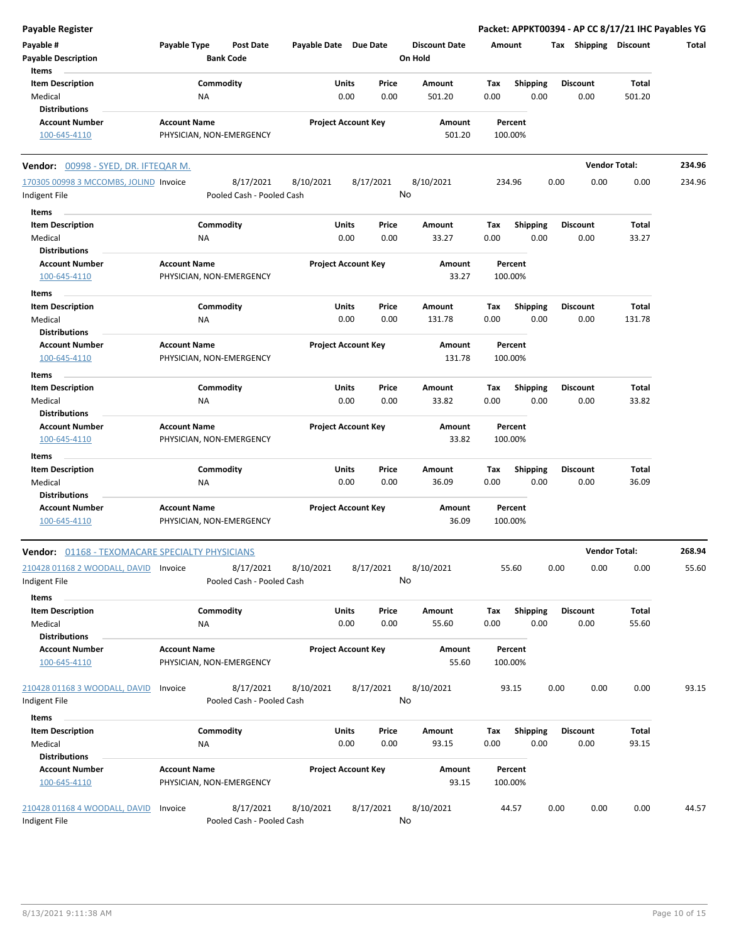| <b>Payable Register</b>                         |                                                 |                                      |                            |               |               |                                 |             |                         |      |                         | Packet: APPKT00394 - AP CC 8/17/21 IHC Payables YG |        |
|-------------------------------------------------|-------------------------------------------------|--------------------------------------|----------------------------|---------------|---------------|---------------------------------|-------------|-------------------------|------|-------------------------|----------------------------------------------------|--------|
| Payable #<br><b>Payable Description</b>         | Payable Type                                    | <b>Post Date</b><br><b>Bank Code</b> | Payable Date Due Date      |               |               | <b>Discount Date</b><br>On Hold |             | Amount                  |      | Tax Shipping Discount   |                                                    | Total  |
| Items                                           |                                                 |                                      |                            |               |               |                                 |             |                         |      |                         |                                                    |        |
| <b>Item Description</b><br>Medical              | Commodity<br>NA                                 |                                      |                            | Units<br>0.00 | Price<br>0.00 | Amount<br>501.20                | Tax<br>0.00 | <b>Shipping</b><br>0.00 |      | <b>Discount</b><br>0.00 | Total<br>501.20                                    |        |
| <b>Distributions</b>                            |                                                 |                                      |                            |               |               |                                 |             |                         |      |                         |                                                    |        |
| <b>Account Number</b>                           | <b>Account Name</b>                             |                                      | <b>Project Account Key</b> |               |               | Amount                          |             | Percent                 |      |                         |                                                    |        |
| 100-645-4110                                    | PHYSICIAN, NON-EMERGENCY                        |                                      |                            |               |               | 501.20                          |             | 100.00%                 |      |                         |                                                    |        |
| Vendor: 00998 - SYED, DR. IFTEQAR M.            |                                                 |                                      |                            |               |               |                                 |             |                         |      |                         | <b>Vendor Total:</b>                               | 234.96 |
| 170305 00998 3 MCCOMBS, JOLIND Invoice          |                                                 | 8/17/2021                            | 8/10/2021                  |               | 8/17/2021     | 8/10/2021                       |             | 234.96                  | 0.00 | 0.00                    | 0.00                                               | 234.96 |
| Indigent File                                   |                                                 | Pooled Cash - Pooled Cash            |                            |               |               | No                              |             |                         |      |                         |                                                    |        |
| Items                                           |                                                 |                                      |                            |               |               |                                 |             |                         |      |                         |                                                    |        |
| <b>Item Description</b>                         | Commodity                                       |                                      |                            | Units         | Price         | Amount                          | Tax         | <b>Shipping</b>         |      | <b>Discount</b>         | Total                                              |        |
| Medical                                         | NA                                              |                                      |                            | 0.00          | 0.00          | 33.27                           | 0.00        | 0.00                    |      | 0.00                    | 33.27                                              |        |
| <b>Distributions</b>                            |                                                 |                                      |                            |               |               |                                 |             |                         |      |                         |                                                    |        |
| <b>Account Number</b>                           | <b>Account Name</b>                             |                                      | <b>Project Account Key</b> |               |               | Amount                          |             | Percent                 |      |                         |                                                    |        |
| 100-645-4110                                    | PHYSICIAN, NON-EMERGENCY                        |                                      |                            |               |               | 33.27                           |             | 100.00%                 |      |                         |                                                    |        |
| Items                                           |                                                 |                                      |                            |               |               |                                 |             |                         |      |                         |                                                    |        |
| <b>Item Description</b>                         | Commodity                                       |                                      |                            | Units         | Price         | Amount                          | Tax         | <b>Shipping</b>         |      | <b>Discount</b>         | Total                                              |        |
| Medical                                         | <b>NA</b>                                       |                                      |                            | 0.00          | 0.00          | 131.78                          | 0.00        | 0.00                    |      | 0.00                    | 131.78                                             |        |
| <b>Distributions</b>                            |                                                 |                                      |                            |               |               |                                 |             |                         |      |                         |                                                    |        |
| <b>Account Number</b>                           | <b>Account Name</b>                             |                                      | <b>Project Account Key</b> |               |               | Amount                          |             | Percent                 |      |                         |                                                    |        |
| 100-645-4110                                    | PHYSICIAN, NON-EMERGENCY                        |                                      |                            |               |               | 131.78                          |             | 100.00%                 |      |                         |                                                    |        |
| Items                                           |                                                 |                                      |                            |               |               |                                 |             |                         |      |                         |                                                    |        |
| <b>Item Description</b>                         | Commodity                                       |                                      |                            | Units         | Price         | Amount                          | Tax         | <b>Shipping</b>         |      | <b>Discount</b>         | Total                                              |        |
| Medical                                         | NA                                              |                                      |                            | 0.00          | 0.00          | 33.82                           | 0.00        | 0.00                    |      | 0.00                    | 33.82                                              |        |
| <b>Distributions</b>                            |                                                 |                                      |                            |               |               |                                 |             |                         |      |                         |                                                    |        |
| <b>Account Number</b>                           | <b>Account Name</b>                             |                                      | <b>Project Account Key</b> |               |               | Amount                          |             | Percent                 |      |                         |                                                    |        |
| 100-645-4110                                    | PHYSICIAN, NON-EMERGENCY                        |                                      |                            |               |               | 33.82                           |             | 100.00%                 |      |                         |                                                    |        |
| Items                                           |                                                 |                                      |                            |               |               |                                 |             |                         |      |                         |                                                    |        |
| <b>Item Description</b>                         | Commodity                                       |                                      |                            | Units         | Price         | Amount                          | Tax         | <b>Shipping</b>         |      | <b>Discount</b>         | Total                                              |        |
| Medical                                         | NA                                              |                                      |                            | 0.00          | 0.00          | 36.09                           | 0.00        | 0.00                    |      | 0.00                    | 36.09                                              |        |
| <b>Distributions</b>                            |                                                 |                                      |                            |               |               |                                 |             |                         |      |                         |                                                    |        |
| <b>Account Number</b><br>100-645-4110           | <b>Account Name</b><br>PHYSICIAN, NON-EMERGENCY |                                      | <b>Project Account Key</b> |               |               | Amount<br>36.09                 |             | Percent<br>100.00%      |      |                         |                                                    |        |
| Vendor: 01168 - TEXOMACARE SPECIALTY PHYSICIANS |                                                 |                                      |                            |               |               |                                 |             |                         |      |                         | <b>Vendor Total:</b>                               | 268.94 |
| 210428 01168 2 WOODALL, DAVID Invoice           |                                                 | 8/17/2021                            | 8/10/2021                  |               | 8/17/2021     | 8/10/2021                       |             | 55.60                   | 0.00 | 0.00                    | 0.00                                               | 55.60  |
| Indigent File                                   |                                                 | Pooled Cash - Pooled Cash            |                            |               |               | No                              |             |                         |      |                         |                                                    |        |
| Items                                           |                                                 |                                      |                            |               |               |                                 |             |                         |      |                         |                                                    |        |
| <b>Item Description</b>                         | Commodity                                       |                                      |                            | Units         | Price         | Amount                          | Tax         | <b>Shipping</b>         |      | <b>Discount</b>         | Total                                              |        |
| Medical                                         | NA                                              |                                      |                            | 0.00          | 0.00          | 55.60                           | 0.00        | 0.00                    |      | 0.00                    | 55.60                                              |        |
| <b>Distributions</b>                            |                                                 |                                      |                            |               |               |                                 |             |                         |      |                         |                                                    |        |
| <b>Account Number</b>                           | <b>Account Name</b>                             |                                      | <b>Project Account Key</b> |               |               | Amount                          |             | Percent                 |      |                         |                                                    |        |
| 100-645-4110                                    | PHYSICIAN, NON-EMERGENCY                        |                                      |                            |               |               | 55.60                           |             | 100.00%                 |      |                         |                                                    |        |
| 210428 01168 3 WOODALL, DAVID                   | Invoice                                         | 8/17/2021                            | 8/10/2021                  |               | 8/17/2021     | 8/10/2021                       |             | 93.15                   | 0.00 | 0.00                    | 0.00                                               | 93.15  |
| Indigent File                                   |                                                 | Pooled Cash - Pooled Cash            |                            |               |               | No                              |             |                         |      |                         |                                                    |        |
|                                                 |                                                 |                                      |                            |               |               |                                 |             |                         |      |                         |                                                    |        |
| Items                                           |                                                 |                                      |                            |               |               |                                 |             |                         |      |                         |                                                    |        |
| <b>Item Description</b>                         | Commodity                                       |                                      |                            | Units         | Price         | Amount                          | Tax         | <b>Shipping</b>         |      | <b>Discount</b>         | Total                                              |        |
| Medical                                         | NA                                              |                                      |                            | 0.00          | 0.00          | 93.15                           | 0.00        | 0.00                    |      | 0.00                    | 93.15                                              |        |
| <b>Distributions</b>                            |                                                 |                                      |                            |               |               |                                 |             |                         |      |                         |                                                    |        |
| <b>Account Number</b><br>100-645-4110           | <b>Account Name</b><br>PHYSICIAN, NON-EMERGENCY |                                      | <b>Project Account Key</b> |               |               | Amount<br>93.15                 |             | Percent<br>100.00%      |      |                         |                                                    |        |
|                                                 |                                                 |                                      |                            |               |               |                                 |             |                         |      |                         |                                                    |        |
| 210428 01168 4 WOODALL, DAVID                   | Invoice                                         | 8/17/2021                            | 8/10/2021                  |               | 8/17/2021     | 8/10/2021                       |             | 44.57                   | 0.00 | 0.00                    | 0.00                                               | 44.57  |
| Indigent File                                   |                                                 | Pooled Cash - Pooled Cash            |                            |               |               | No                              |             |                         |      |                         |                                                    |        |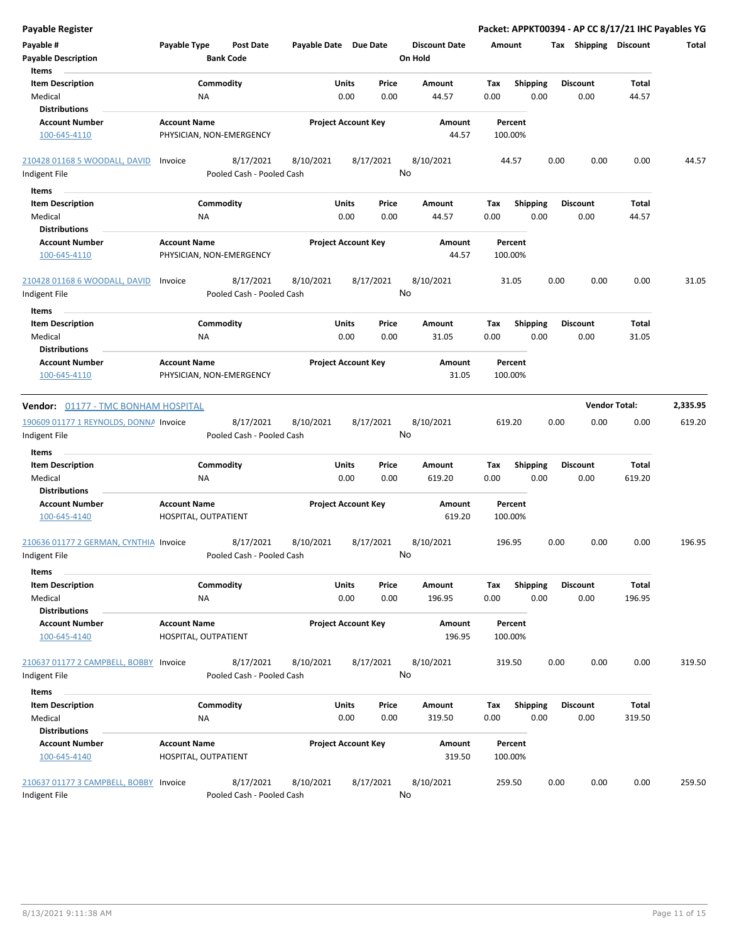| Payable Register                                        |                                                 |                                        |                       |                            |                                 |                    |                  |      |                         | Packet: APPKT00394 - AP CC 8/17/21 IHC Payables YG |          |
|---------------------------------------------------------|-------------------------------------------------|----------------------------------------|-----------------------|----------------------------|---------------------------------|--------------------|------------------|------|-------------------------|----------------------------------------------------|----------|
| Payable #<br><b>Payable Description</b>                 | Payable Type                                    | Post Date<br><b>Bank Code</b>          | Payable Date Due Date |                            | <b>Discount Date</b><br>On Hold | Amount             |                  |      |                         | Tax Shipping Discount                              | Total    |
| Items                                                   |                                                 |                                        |                       | Price                      |                                 |                    |                  |      | <b>Discount</b>         |                                                    |          |
| <b>Item Description</b><br>Medical                      | ΝA                                              | Commodity                              |                       | Units<br>0.00<br>0.00      | Amount<br>44.57                 | Tax<br>0.00        | Shipping<br>0.00 |      | 0.00                    | Total<br>44.57                                     |          |
| <b>Distributions</b>                                    |                                                 |                                        |                       |                            |                                 |                    |                  |      |                         |                                                    |          |
| <b>Account Number</b>                                   | <b>Account Name</b>                             |                                        |                       | <b>Project Account Key</b> | Amount                          | Percent            |                  |      |                         |                                                    |          |
| 100-645-4110                                            | PHYSICIAN, NON-EMERGENCY                        |                                        |                       |                            | 44.57                           | 100.00%            |                  |      |                         |                                                    |          |
| 210428 01168 5 WOODALL, DAVID                           | Invoice                                         | 8/17/2021                              | 8/10/2021             | 8/17/2021                  | 8/10/2021                       | 44.57              |                  | 0.00 | 0.00                    | 0.00                                               | 44.57    |
| Indigent File                                           |                                                 | Pooled Cash - Pooled Cash              |                       |                            | No                              |                    |                  |      |                         |                                                    |          |
| Items                                                   |                                                 |                                        |                       |                            |                                 |                    |                  |      |                         |                                                    |          |
| <b>Item Description</b>                                 |                                                 | Commodity                              |                       | Units<br>Price             | Amount                          | Tax                | <b>Shipping</b>  |      | <b>Discount</b>         | Total                                              |          |
| Medical                                                 | ΝA                                              |                                        |                       | 0.00<br>0.00               | 44.57                           | 0.00               | 0.00             |      | 0.00                    | 44.57                                              |          |
| <b>Distributions</b>                                    |                                                 |                                        |                       |                            |                                 |                    |                  |      |                         |                                                    |          |
| <b>Account Number</b><br>100-645-4110                   | <b>Account Name</b><br>PHYSICIAN, NON-EMERGENCY |                                        |                       | <b>Project Account Key</b> | Amount<br>44.57                 | Percent<br>100.00% |                  |      |                         |                                                    |          |
| 210428 01168 6 WOODALL, DAVID                           | Invoice                                         | 8/17/2021                              | 8/10/2021             | 8/17/2021                  | 8/10/2021                       | 31.05              |                  | 0.00 | 0.00                    | 0.00                                               | 31.05    |
| Indigent File                                           |                                                 | Pooled Cash - Pooled Cash              |                       |                            | No                              |                    |                  |      |                         |                                                    |          |
| Items                                                   |                                                 |                                        |                       |                            |                                 |                    |                  |      |                         |                                                    |          |
| <b>Item Description</b>                                 |                                                 | Commodity                              |                       | Units<br>Price             | Amount                          | Tax                | <b>Shipping</b>  |      | <b>Discount</b>         | Total                                              |          |
| Medical                                                 | ΝA                                              |                                        |                       | 0.00<br>0.00               | 31.05                           | 0.00               | 0.00             |      | 0.00                    | 31.05                                              |          |
| <b>Distributions</b>                                    |                                                 |                                        |                       |                            |                                 |                    |                  |      |                         |                                                    |          |
| <b>Account Number</b><br>100-645-4110                   | <b>Account Name</b><br>PHYSICIAN, NON-EMERGENCY |                                        |                       | <b>Project Account Key</b> | Amount<br>31.05                 | Percent<br>100.00% |                  |      |                         |                                                    |          |
|                                                         |                                                 |                                        |                       |                            |                                 |                    |                  |      |                         |                                                    |          |
| Vendor: 01177 - TMC BONHAM HOSPITAL                     |                                                 |                                        |                       |                            |                                 |                    |                  |      |                         | <b>Vendor Total:</b>                               | 2,335.95 |
| 190609 01177 1 REYNOLDS, DONNA Invoice<br>Indigent File |                                                 | 8/17/2021<br>Pooled Cash - Pooled Cash | 8/10/2021             | 8/17/2021                  | 8/10/2021<br>No                 | 619.20             |                  | 0.00 | 0.00                    | 0.00                                               | 619.20   |
| Items                                                   |                                                 |                                        |                       |                            |                                 |                    |                  |      |                         |                                                    |          |
| <b>Item Description</b>                                 |                                                 | Commodity                              |                       | Units<br>Price             | Amount                          | Tax                | <b>Shipping</b>  |      | <b>Discount</b>         | Total                                              |          |
| Medical                                                 | ΝA                                              |                                        |                       | 0.00<br>0.00               | 619.20                          | 0.00               | 0.00             |      | 0.00                    | 619.20                                             |          |
| <b>Distributions</b>                                    |                                                 |                                        |                       |                            |                                 |                    |                  |      |                         |                                                    |          |
| <b>Account Number</b><br>100-645-4140                   | <b>Account Name</b><br>HOSPITAL, OUTPATIENT     |                                        |                       | <b>Project Account Key</b> | Amount<br>619.20                | Percent<br>100.00% |                  |      |                         |                                                    |          |
| 210636 01177 2 GERMAN, CYNTHIA Invoice<br>Indigent File |                                                 | 8/17/2021<br>Pooled Cash - Pooled Cash | 8/10/2021             | 8/17/2021                  | 8/10/2021<br>No                 | 196.95             |                  | 0.00 | 0.00                    | 0.00                                               | 196.95   |
| Items                                                   |                                                 |                                        |                       |                            |                                 |                    |                  |      |                         |                                                    |          |
| <b>Item Description</b>                                 |                                                 | Commodity                              |                       | Units<br>Price             | Amount                          | Tax                | <b>Shipping</b>  |      | <b>Discount</b>         | Total                                              |          |
| Medical                                                 | ΝA                                              |                                        |                       | 0.00<br>0.00               | 196.95                          | 0.00               | 0.00             |      | 0.00                    | 196.95                                             |          |
| <b>Distributions</b>                                    |                                                 |                                        |                       |                            |                                 |                    |                  |      |                         |                                                    |          |
| <b>Account Number</b><br>100-645-4140                   | <b>Account Name</b><br>HOSPITAL, OUTPATIENT     |                                        |                       | <b>Project Account Key</b> | Amount<br>196.95                | Percent<br>100.00% |                  |      |                         |                                                    |          |
|                                                         |                                                 |                                        |                       |                            |                                 |                    |                  |      |                         |                                                    |          |
| 210637 01177 2 CAMPBELL, BOBBY Invoice<br>Indigent File |                                                 | 8/17/2021<br>Pooled Cash - Pooled Cash | 8/10/2021             | 8/17/2021                  | 8/10/2021<br>No                 | 319.50             |                  | 0.00 | 0.00                    | 0.00                                               | 319.50   |
| Items                                                   |                                                 |                                        |                       |                            |                                 |                    |                  |      |                         |                                                    |          |
|                                                         |                                                 | Commodity                              |                       | Units                      |                                 |                    | Shipping         |      |                         | Total                                              |          |
| <b>Item Description</b><br>Medical                      | ΝA                                              |                                        |                       | Price<br>0.00<br>0.00      | Amount<br>319.50                | Tax<br>0.00        | 0.00             |      | <b>Discount</b><br>0.00 | 319.50                                             |          |
| <b>Distributions</b>                                    |                                                 |                                        |                       |                            |                                 |                    |                  |      |                         |                                                    |          |
| <b>Account Number</b>                                   | <b>Account Name</b>                             |                                        |                       | <b>Project Account Key</b> | Amount                          | Percent            |                  |      |                         |                                                    |          |
| 100-645-4140                                            | HOSPITAL, OUTPATIENT                            |                                        |                       |                            | 319.50                          | 100.00%            |                  |      |                         |                                                    |          |
| 210637 01177 3 CAMPBELL, BOBBY Invoice                  |                                                 | 8/17/2021                              | 8/10/2021             | 8/17/2021                  | 8/10/2021                       | 259.50             |                  | 0.00 | 0.00                    | 0.00                                               | 259.50   |
| Indigent File                                           |                                                 | Pooled Cash - Pooled Cash              |                       |                            | No                              |                    |                  |      |                         |                                                    |          |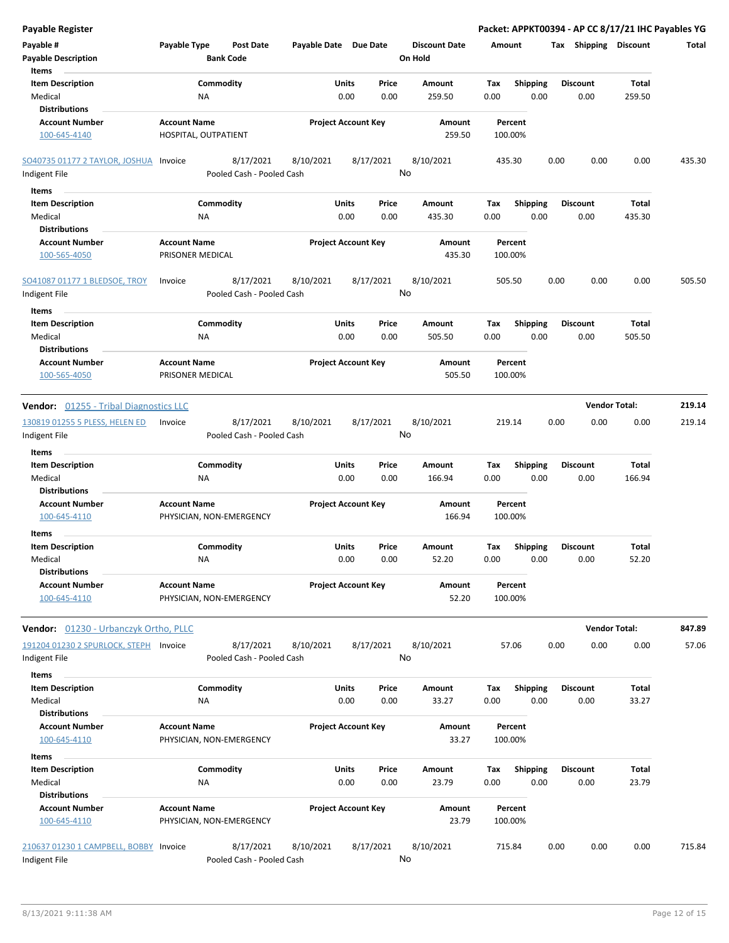| <b>Payable Register</b>                                             |                                                 |                                        | Packet: APPKT00394 - AP CC 8/17/21 IHC Payables YG |                                |                                 |             |                         |      |                         |                        |        |
|---------------------------------------------------------------------|-------------------------------------------------|----------------------------------------|----------------------------------------------------|--------------------------------|---------------------------------|-------------|-------------------------|------|-------------------------|------------------------|--------|
| Payable #<br><b>Payable Description</b>                             | Payable Type                                    | <b>Post Date</b><br><b>Bank Code</b>   | Payable Date Due Date                              |                                | <b>Discount Date</b><br>On Hold |             | Amount                  |      | Tax Shipping Discount   |                        | Total  |
| Items<br><b>Item Description</b><br>Medical<br><b>Distributions</b> | Commodity<br><b>NA</b>                          |                                        |                                                    | Units<br>Price<br>0.00<br>0.00 | Amount<br>259.50                | Tax<br>0.00 | <b>Shipping</b><br>0.00 |      | <b>Discount</b><br>0.00 | Total<br>259.50        |        |
| <b>Account Number</b><br>100-645-4140                               | <b>Account Name</b><br>HOSPITAL, OUTPATIENT     |                                        |                                                    | <b>Project Account Key</b>     | Amount<br>259.50                |             | Percent<br>100.00%      |      |                         |                        |        |
| SO40735 01177 2 TAYLOR, JOSHUA Invoice<br>Indigent File             |                                                 | 8/17/2021<br>Pooled Cash - Pooled Cash | 8/10/2021                                          | 8/17/2021                      | 8/10/2021<br>No                 |             | 435.30                  | 0.00 | 0.00                    | 0.00                   | 435.30 |
| Items                                                               |                                                 |                                        |                                                    |                                |                                 |             |                         |      |                         |                        |        |
| <b>Item Description</b><br>Medical<br><b>Distributions</b>          | Commodity<br><b>NA</b>                          |                                        |                                                    | Units<br>Price<br>0.00<br>0.00 | Amount<br>435.30                | Tax<br>0.00 | <b>Shipping</b><br>0.00 |      | <b>Discount</b><br>0.00 | Total<br>435.30        |        |
| <b>Account Number</b><br>100-565-4050                               | <b>Account Name</b><br>PRISONER MEDICAL         |                                        |                                                    | <b>Project Account Key</b>     | Amount<br>435.30                |             | Percent<br>100.00%      |      |                         |                        |        |
| SO41087 01177 1 BLEDSOE, TROY<br>Indigent File                      | Invoice                                         | 8/17/2021<br>Pooled Cash - Pooled Cash | 8/10/2021                                          | 8/17/2021                      | 8/10/2021<br>No                 |             | 505.50                  | 0.00 | 0.00                    | 0.00                   | 505.50 |
| Items<br><b>Item Description</b><br>Medical                         | Commodity<br><b>NA</b>                          |                                        |                                                    | Units<br>Price<br>0.00<br>0.00 | Amount<br>505.50                | Tax<br>0.00 | <b>Shipping</b><br>0.00 |      | <b>Discount</b><br>0.00 | Total<br>505.50        |        |
| <b>Distributions</b><br><b>Account Number</b><br>100-565-4050       | <b>Account Name</b><br>PRISONER MEDICAL         |                                        |                                                    | <b>Project Account Key</b>     | Amount<br>505.50                |             | Percent<br>100.00%      |      |                         |                        |        |
| <b>Vendor:</b> 01255 - Tribal Diagnostics LLC                       |                                                 |                                        |                                                    |                                |                                 |             |                         |      |                         | <b>Vendor Total:</b>   | 219.14 |
| 130819 01255 5 PLESS, HELEN ED<br>Indigent File                     | Invoice                                         | 8/17/2021<br>Pooled Cash - Pooled Cash | 8/10/2021                                          | 8/17/2021                      | 8/10/2021<br>No                 |             | 219.14                  | 0.00 | 0.00                    | 0.00                   | 219.14 |
| Items<br><b>Item Description</b><br>Medical                         | Commodity<br><b>NA</b>                          |                                        |                                                    | Units<br>Price<br>0.00<br>0.00 | Amount<br>166.94                | Tax<br>0.00 | <b>Shipping</b><br>0.00 |      | <b>Discount</b><br>0.00 | <b>Total</b><br>166.94 |        |
| <b>Distributions</b><br><b>Account Number</b><br>100-645-4110       | <b>Account Name</b><br>PHYSICIAN, NON-EMERGENCY |                                        |                                                    | <b>Project Account Key</b>     | Amount<br>166.94                |             | Percent<br>100.00%      |      |                         |                        |        |
| Items                                                               |                                                 |                                        |                                                    |                                |                                 |             |                         |      |                         |                        |        |
| <b>Item Description</b><br>Medical<br><b>Distributions</b>          | Commodity<br>ΝA                                 |                                        |                                                    | Units<br>Price<br>0.00<br>0.00 | Amount<br>52.20                 | Тах<br>0.00 | <b>Shipping</b><br>0.00 |      | <b>Discount</b><br>0.00 | Total<br>52.20         |        |
| <b>Account Number</b><br>100-645-4110                               | <b>Account Name</b><br>PHYSICIAN, NON-EMERGENCY |                                        |                                                    | <b>Project Account Key</b>     | Amount<br>52.20                 |             | Percent<br>100.00%      |      |                         |                        |        |
| <b>Vendor:</b> 01230 - Urbanczyk Ortho, PLLC                        |                                                 |                                        |                                                    |                                |                                 |             |                         |      |                         | <b>Vendor Total:</b>   | 847.89 |
| 191204 01230 2 SPURLOCK, STEPH Invoice<br>Indigent File             |                                                 | 8/17/2021<br>Pooled Cash - Pooled Cash | 8/10/2021                                          | 8/17/2021                      | 8/10/2021<br>No                 |             | 57.06                   | 0.00 | 0.00                    | 0.00                   | 57.06  |
| Items                                                               |                                                 |                                        |                                                    |                                |                                 |             |                         |      |                         |                        |        |
| <b>Item Description</b><br>Medical<br><b>Distributions</b>          | Commodity<br><b>NA</b>                          |                                        |                                                    | Units<br>Price<br>0.00<br>0.00 | Amount<br>33.27                 | Tax<br>0.00 | <b>Shipping</b><br>0.00 |      | <b>Discount</b><br>0.00 | Total<br>33.27         |        |
| <b>Account Number</b><br>100-645-4110                               | <b>Account Name</b><br>PHYSICIAN, NON-EMERGENCY |                                        |                                                    | <b>Project Account Key</b>     | Amount<br>33.27                 |             | Percent<br>100.00%      |      |                         |                        |        |
| Items                                                               |                                                 |                                        |                                                    |                                |                                 |             |                         |      |                         |                        |        |
| <b>Item Description</b><br>Medical<br><b>Distributions</b>          | Commodity<br><b>NA</b>                          |                                        |                                                    | Units<br>Price<br>0.00<br>0.00 | Amount<br>23.79                 | Tax<br>0.00 | <b>Shipping</b><br>0.00 |      | <b>Discount</b><br>0.00 | Total<br>23.79         |        |
| <b>Account Number</b><br>100-645-4110                               | <b>Account Name</b><br>PHYSICIAN, NON-EMERGENCY |                                        |                                                    | <b>Project Account Key</b>     | Amount<br>23.79                 |             | Percent<br>100.00%      |      |                         |                        |        |
| 210637 01230 1 CAMPBELL, BOBBY Invoice<br>Indigent File             |                                                 | 8/17/2021<br>Pooled Cash - Pooled Cash | 8/10/2021                                          | 8/17/2021                      | 8/10/2021<br>No                 |             | 715.84                  | 0.00 | 0.00                    | 0.00                   | 715.84 |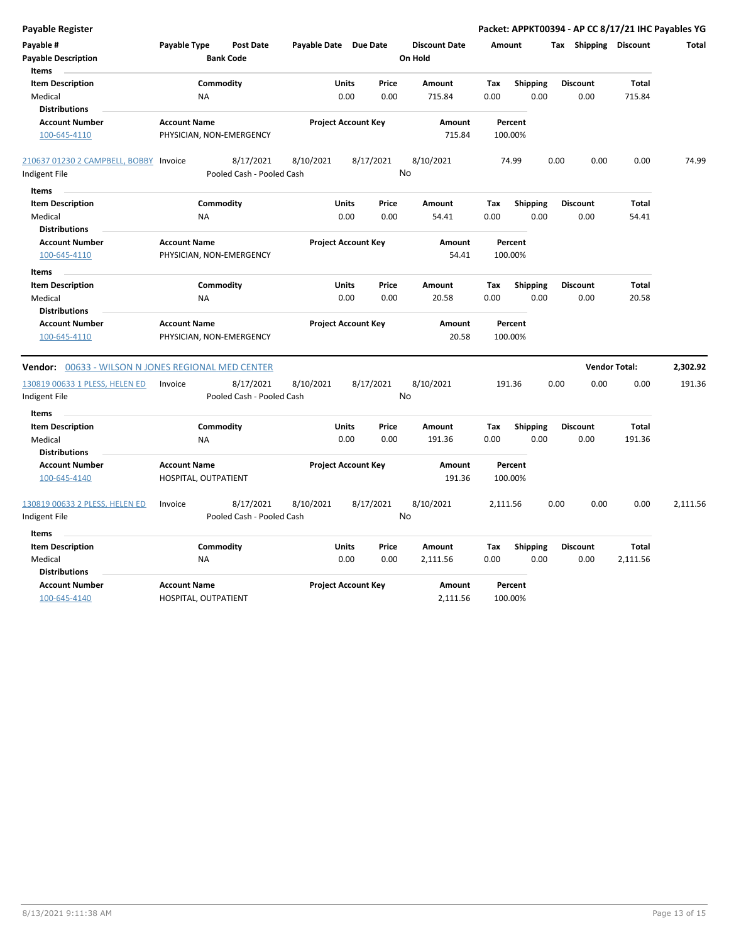| Payable Register                                              |                                                 |                                        |                            |                                                |                  |                                 |             |                         | Packet: APPKT00394 - AP CC 8/17/21 IHC Payables YG |                        |          |
|---------------------------------------------------------------|-------------------------------------------------|----------------------------------------|----------------------------|------------------------------------------------|------------------|---------------------------------|-------------|-------------------------|----------------------------------------------------|------------------------|----------|
| Payable #<br><b>Payable Description</b>                       | Payable Type                                    | <b>Post Date</b><br><b>Bank Code</b>   | Payable Date Due Date      |                                                |                  | <b>Discount Date</b><br>On Hold | Amount      |                         | Tax Shipping Discount                              |                        | Total    |
| Items<br><b>Item Description</b>                              |                                                 | Commodity                              |                            | <b>Units</b>                                   | Price            | Amount                          | Tax         | <b>Shipping</b>         | <b>Discount</b>                                    | <b>Total</b>           |          |
| Medical<br><b>Distributions</b>                               | <b>NA</b>                                       |                                        |                            | 0.00                                           | 0.00             | 715.84                          | 0.00        | 0.00                    | 0.00                                               | 715.84                 |          |
| <b>Account Number</b><br>100-645-4110                         | <b>Account Name</b><br>PHYSICIAN, NON-EMERGENCY |                                        | <b>Project Account Key</b> |                                                | Amount<br>715.84 | Percent<br>100.00%              |             |                         |                                                    |                        |          |
| 210637 01230 2 CAMPBELL, BOBBY Invoice                        |                                                 | 8/17/2021                              | 8/10/2021                  | 8/17/2021                                      |                  | 8/10/2021                       |             | 74.99                   | 0.00<br>0.00                                       | 0.00                   | 74.99    |
| Indigent File                                                 | Pooled Cash - Pooled Cash                       |                                        |                            |                                                | No               |                                 |             |                         |                                                    |                        |          |
| <b>Items</b>                                                  |                                                 |                                        |                            |                                                |                  |                                 |             |                         |                                                    |                        |          |
| <b>Item Description</b><br>Medical                            | <b>NA</b>                                       | Commodity                              |                            | <b>Units</b><br>0.00                           | Price<br>0.00    | Amount<br>54.41                 | Tax<br>0.00 | <b>Shipping</b><br>0.00 | <b>Discount</b><br>0.00                            | Total<br>54.41         |          |
| <b>Distributions</b><br><b>Account Number</b>                 | <b>Account Name</b>                             |                                        | <b>Project Account Key</b> |                                                | Amount           |                                 | Percent     |                         |                                                    |                        |          |
| 100-645-4110                                                  | PHYSICIAN, NON-EMERGENCY                        |                                        |                            |                                                | 54.41            | 100.00%                         |             |                         |                                                    |                        |          |
| <b>Items</b>                                                  |                                                 |                                        |                            |                                                |                  |                                 |             |                         |                                                    |                        |          |
| <b>Item Description</b>                                       |                                                 | Commodity                              |                            | Units                                          | Price            | Amount                          | Tax         | <b>Shipping</b>         | <b>Discount</b>                                    | Total                  |          |
| Medical                                                       | <b>NA</b>                                       |                                        |                            | 0.00                                           | 0.00             | 20.58                           | 0.00        | 0.00                    | 0.00                                               | 20.58                  |          |
| <b>Distributions</b><br><b>Account Number</b><br>100-645-4110 | <b>Account Name</b><br>PHYSICIAN, NON-EMERGENCY |                                        | <b>Project Account Key</b> |                                                | Amount<br>20.58  | Percent<br>100.00%              |             |                         |                                                    |                        |          |
| <b>Vendor:</b> 00633 - WILSON N JONES REGIONAL MED CENTER     |                                                 |                                        |                            |                                                |                  |                                 |             |                         |                                                    | <b>Vendor Total:</b>   | 2,302.92 |
| 130819 00633 1 PLESS, HELEN ED<br>Indigent File               | Invoice                                         | 8/17/2021<br>Pooled Cash - Pooled Cash | 8/10/2021                  | 8/17/2021                                      |                  | 8/10/2021<br>No                 |             | 191.36                  | 0.00<br>0.00                                       | 0.00                   | 191.36   |
| Items<br><b>Item Description</b><br>Medical                   | <b>NA</b>                                       | Commodity                              |                            | <b>Units</b><br>0.00                           | Price<br>0.00    | Amount<br>191.36                | Tax<br>0.00 | <b>Shipping</b><br>0.00 | <b>Discount</b><br>0.00                            | <b>Total</b><br>191.36 |          |
| <b>Distributions</b><br><b>Account Number</b><br>100-645-4140 | <b>Account Name</b><br>HOSPITAL, OUTPATIENT     |                                        |                            | <b>Project Account Key</b><br>Amount<br>191.36 |                  | Percent<br>100.00%              |             |                         |                                                    |                        |          |
| 130819 00633 2 PLESS, HELEN ED                                | Invoice                                         | 8/17/2021                              | 8/10/2021                  | 8/17/2021                                      |                  | 8/10/2021                       | 2,111.56    |                         | 0.00<br>0.00                                       | 0.00                   | 2,111.56 |
| Indigent File                                                 | Pooled Cash - Pooled Cash                       |                                        | No                         |                                                |                  |                                 |             |                         |                                                    |                        |          |
| Items                                                         |                                                 |                                        |                            |                                                |                  |                                 |             |                         |                                                    |                        |          |
| <b>Item Description</b><br>Medical<br><b>Distributions</b>    | <b>NA</b>                                       | Commodity                              |                            | Units<br>0.00                                  | Price<br>0.00    | Amount<br>2,111.56              | Tax<br>0.00 | <b>Shipping</b><br>0.00 | <b>Discount</b><br>0.00                            | Total<br>2,111.56      |          |
| <b>Account Number</b><br>100-645-4140                         | <b>Account Name</b><br>HOSPITAL, OUTPATIENT     |                                        |                            | <b>Project Account Key</b>                     |                  | Amount<br>2,111.56              |             | Percent<br>100.00%      |                                                    |                        |          |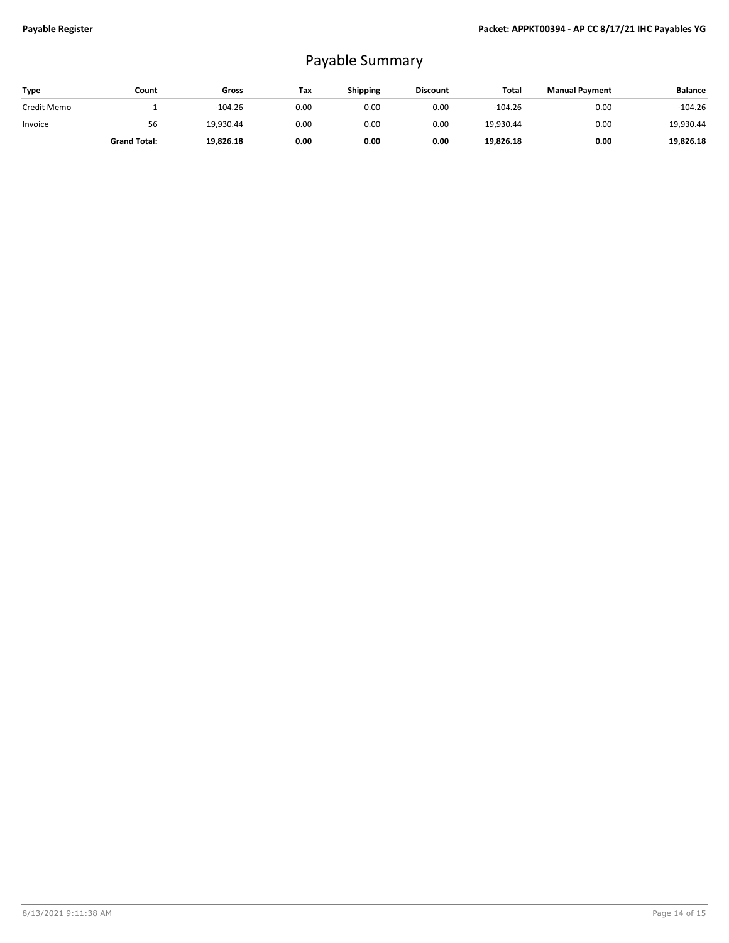## Payable Summary

| <b>Type</b> | Count               | Gross     | Tax  | Shipping | <b>Discount</b> | Total     | <b>Manual Payment</b> | <b>Balance</b> |
|-------------|---------------------|-----------|------|----------|-----------------|-----------|-----------------------|----------------|
| Credit Memo |                     | $-104.26$ | 0.00 | 0.00     | 0.00            | $-104.26$ | 0.00                  | $-104.26$      |
| Invoice     | 56                  | 19.930.44 | 0.00 | 0.00     | 0.00            | 19.930.44 | 0.00                  | 19,930.44      |
|             | <b>Grand Total:</b> | 19,826.18 | 0.00 | 0.00     | 0.00            | 19,826.18 | 0.00                  | 19,826.18      |